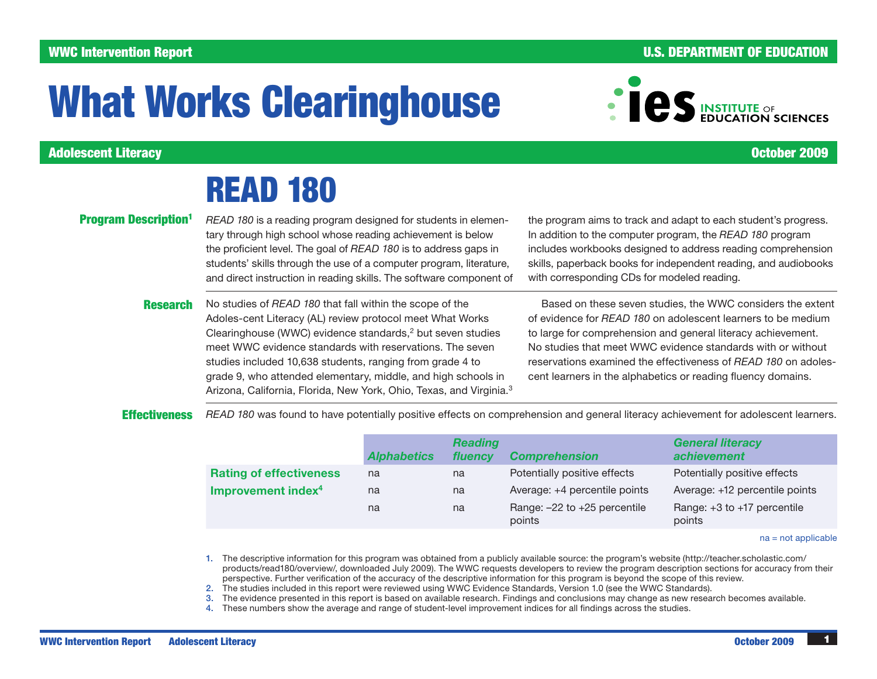# WWC Intervention Report **And The Contract of Contract Contract Contract Contract Contract Contract Contract Contract Contract Contract Contract Contract Contract Contract Contract Contract Contract Contract Contract Contra**

# What Works Clearinghouse

Adolescent Literacy October 2009

# READ 180

**Program Description<sup>1</sup>** *READ 180* is a reading program designed for students in elementary through high school whose reading achievement is below the proficient level. The goal of *READ 180* is to address gaps in students' skills through the use of a computer program, literature, and direct instruction in reading skills. The software component of

> Research No studies of *READ 180* that fall within the scope of the Adoles-cent Literacy (AL) review protocol meet What Works Clearinghouse (WWC) evidence standards,<sup>2</sup> but seven studies meet WWC evidence standards with reservations. The seven studies included 10,638 students, ranging from grade 4 to grade 9, who attended elementary, middle, and high schools in Arizona, California, Florida, New York, Ohio, Texas, and Virginia.3

the program aims to track and adapt to each student's progress. In addition to the computer program, the *READ 180* program includes workbooks designed to address reading comprehension skills, paperback books for independent reading, and audiobooks with corresponding CDs for modeled reading.

Based on these seven studies, the WWC considers the extent of evidence for *READ 180* on adolescent learners to be medium to large for comprehension and general literacy achievement. No studies that meet WWC evidence standards with or without reservations examined the effectiveness of *READ 180* on adolescent learners in the alphabetics or reading fluency domains.

**Effectiveness** *READ 180* was found to have potentially positive effects on comprehension and general literacy achievement for adolescent learners.

|                                | <b>Alphabetics</b> | <b>Reading</b><br>fluency | <b>Comprehension</b>                   | <b>General literacy</b><br>achievement    |
|--------------------------------|--------------------|---------------------------|----------------------------------------|-------------------------------------------|
| <b>Rating of effectiveness</b> | na                 | na                        | Potentially positive effects           | Potentially positive effects              |
| Improvement index <sup>4</sup> | na                 | na                        | Average: +4 percentile points          | Average: +12 percentile points            |
|                                | na                 | na                        | Range: -22 to +25 percentile<br>points | Range: $+3$ to $+17$ percentile<br>points |

na = not applicable

- 1. The descriptive information for this program was obtained from a publicly available source: the program's website ([http://teacher.scholastic.com/](http://teacher.scholastic.com/products/read180/) [products/read180/overview/](http://teacher.scholastic.com/products/read180/), downloaded July 2009). The WWC requests developers to review the program description sections for accuracy from their perspective. Further verification of the accuracy of the descriptive information for this program is beyond the scope of this review.
- 2. The studies included in this report were reviewed using WWC Evidence Standards, Version 1.0 (see the WWC Standards).
- 3. The evidence presented in this report is based on available research. Findings and conclusions may change as new research becomes available.
- 4. These numbers show the average and range of student-level improvement indices for all findings across the studies.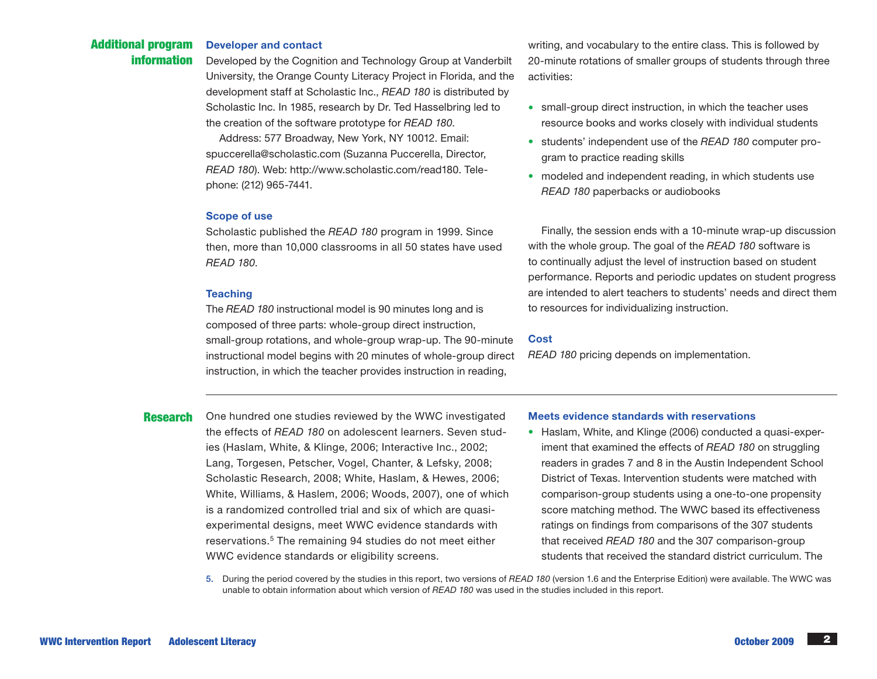#### Additional program information Developer and contact

Developed by the Cognition and Technology Group at Vanderbilt University, the Orange County Literacy Project in Florida, and the development staff at Scholastic Inc., *READ 180* is distributed by Scholastic Inc. In 1985, research by Dr. Ted Hasselbring led to the creation of the software prototype for *READ 180*.

Address: 577 Broadway, New York, NY 10012. Email: spuccerella@scholastic.com (Suzanna Puccerella, Director, *READ 180*). Web: http://www.scholastic.com/read180. Telephone: (212) 965-7441.

#### Scope of use

Scholastic published the *READ 180* program in 1999. Since then, more than 10,000 classrooms in all 50 states have used *READ 180*.

### **Teaching**

The *READ 180* instructional model is 90 minutes long and is composed of three parts: whole-group direct instruction, small-group rotations, and whole-group wrap-up. The 90-minute instructional model begins with 20 minutes of whole-group direct instruction, in which the teacher provides instruction in reading,

**Research** One hundred one studies reviewed by the WWC investigated the effects of *READ 180* on adolescent learners. Seven studies (Haslam, White, & Klinge, 2006; Interactive Inc., 2002; Lang, Torgesen, Petscher, Vogel, Chanter, & Lefsky, 2008; Scholastic Research, 2008; White, Haslam, & Hewes, 2006; White, Williams, & Haslem, 2006; Woods, 2007), one of which is a randomized controlled trial and six of which are quasiexperimental designs, meet WWC evidence standards with reservations.5 The remaining 94 studies do not meet either WWC evidence standards or eligibility screens.

writing, and vocabulary to the entire class. This is followed by 20-minute rotations of smaller groups of students through three activities:

- small-group direct instruction, in which the teacher uses resource books and works closely with individual students
- students' independent use of the *READ 180* computer program to practice reading skills
- modeled and independent reading, in which students use *READ 180* paperbacks or audiobooks

Finally, the session ends with a 10-minute wrap-up discussion with the whole group. The goal of the *READ 180* software is to continually adjust the level of instruction based on student performance. Reports and periodic updates on student progress are intended to alert teachers to students' needs and direct them to resources for individualizing instruction.

### **Cost**

*READ 180* pricing depends on implementation.

### Meets evidence standards with reservations

• Haslam, White, and Klinge (2006) conducted a quasi-experiment that examined the effects of *READ 180* on struggling readers in grades 7 and 8 in the Austin Independent School District of Texas. Intervention students were matched with comparison-group students using a one-to-one propensity score matching method. The WWC based its effectiveness ratings on findings from comparisons of the 307 students that received *READ 180* and the 307 comparison-group students that received the standard district curriculum. The

5. During the period covered by the studies in this report, two versions of *READ 180* (version 1.6 and the Enterprise Edition) were available. The WWC was unable to obtain information about which version of *READ 180* was used in the studies included in this report.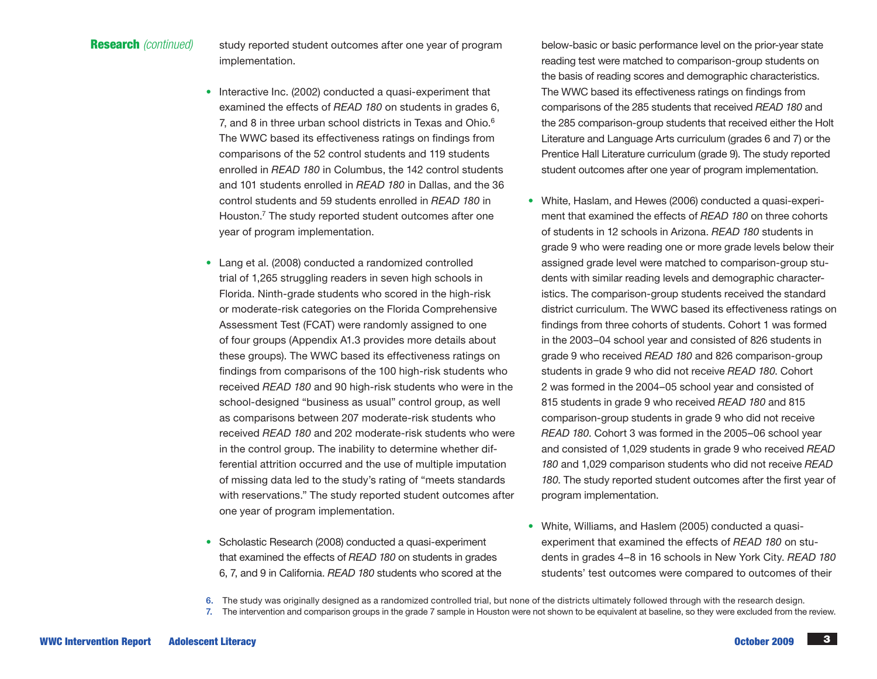**Research** (continued) study reported student outcomes after one year of program implementation.

- Interactive Inc. (2002) conducted a quasi-experiment that examined the effects of *READ 180* on students in grades 6, 7, and 8 in three urban school districts in Texas and Ohio.<sup>6</sup> The WWC based its effectiveness ratings on findings from comparisons of the 52 control students and 119 students enrolled in *READ 180* in Columbus, the 142 control students and 101 students enrolled in *READ 180* in Dallas, and the 36 control students and 59 students enrolled in *READ 180* in Houston.<sup>7</sup> The study reported student outcomes after one year of program implementation.
- Lang et al. (2008) conducted a randomized controlled trial of 1,265 struggling readers in seven high schools in Florida. Ninth-grade students who scored in the high-risk or moderate-risk categories on the Florida Comprehensive Assessment Test (FCAT) were randomly assigned to one of four groups (Appendix A1.3 provides more details about these groups). The WWC based its effectiveness ratings on findings from comparisons of the 100 high-risk students who received *READ 180* and 90 high-risk students who were in the school-designed "business as usual" control group, as well as comparisons between 207 moderate-risk students who received *READ 180* and 202 moderate-risk students who were in the control group. The inability to determine whether differential attrition occurred and the use of multiple imputation of missing data led to the study's rating of "meets standards with reservations." The study reported student outcomes after one year of program implementation.
- Scholastic Research (2008) conducted a quasi-experiment that examined the effects of *READ 180* on students in grades 6, 7, and 9 in California. *READ 180* students who scored at the

below-basic or basic performance level on the prior-year state reading test were matched to comparison-group students on the basis of reading scores and demographic characteristics. The WWC based its effectiveness ratings on findings from comparisons of the 285 students that received *READ 180* and the 285 comparison-group students that received either the Holt Literature and Language Arts curriculum (grades 6 and 7) or the Prentice Hall Literature curriculum (grade 9). The study reported student outcomes after one year of program implementation.

- White, Haslam, and Hewes (2006) conducted a quasi-experiment that examined the effects of *READ 180* on three cohorts of students in 12 schools in Arizona. *READ 180* students in grade 9 who were reading one or more grade levels below their assigned grade level were matched to comparison-group students with similar reading levels and demographic characteristics. The comparison-group students received the standard district curriculum. The WWC based its effectiveness ratings on findings from three cohorts of students. Cohort 1 was formed in the 2003–04 school year and consisted of 826 students in grade 9 who received *READ 180* and 826 comparison-group students in grade 9 who did not receive *READ 180*. Cohort 2 was formed in the 2004–05 school year and consisted of 815 students in grade 9 who received *READ 180* and 815 comparison-group students in grade 9 who did not receive *READ 180*. Cohort 3 was formed in the 2005–06 school year and consisted of 1,029 students in grade 9 who received *READ 180* and 1,029 comparison students who did not receive *READ 180*. The study reported student outcomes after the first year of program implementation.
- White, Williams, and Haslem (2005) conducted a quasiexperiment that examined the effects of *READ 180* on students in grades 4–8 in 16 schools in New York City. *READ 180* students' test outcomes were compared to outcomes of their

6. The study was originally designed as a randomized controlled trial, but none of the districts ultimately followed through with the research design. 7. The intervention and comparison groups in the grade 7 sample in Houston were not shown to be equivalent at baseline, so they were excluded from the review.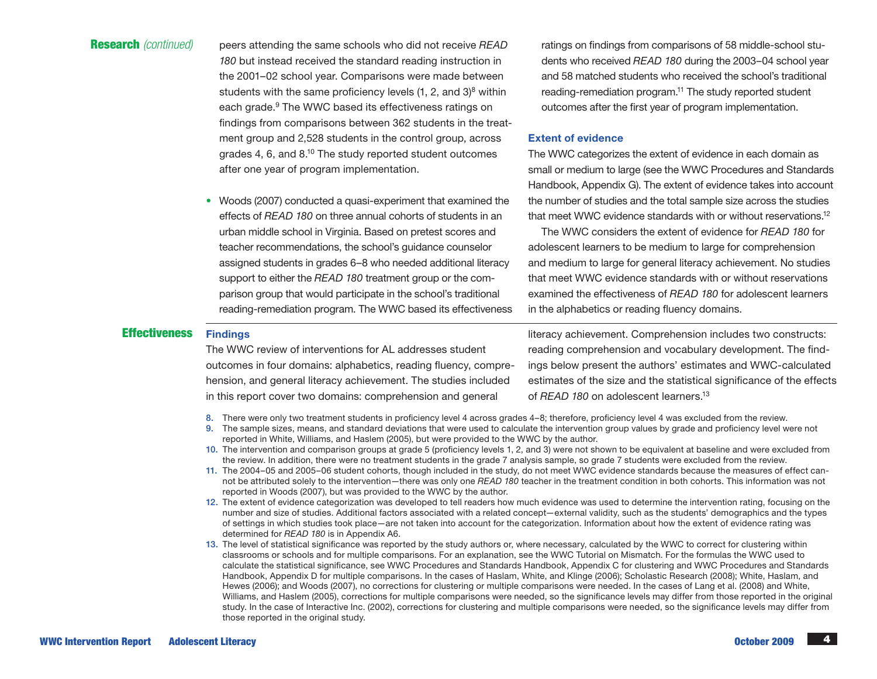Research *(continued)* peers attending the same schools who did not receive *READ 180* but instead received the standard reading instruction in the 2001–02 school year. Comparisons were made between students with the same proficiency levels  $(1, 2, \text{ and } 3)^8$  within each grade.<sup>9</sup> The WWC based its effectiveness ratings on findings from comparisons between 362 students in the treatment group and 2,528 students in the control group, across grades 4, 6, and 8.10 The study reported student outcomes after one year of program implementation.

> • Woods (2007) conducted a quasi-experiment that examined the effects of *READ 180* on three annual cohorts of students in an urban middle school in Virginia. Based on pretest scores and teacher recommendations, the school's guidance counselor assigned students in grades 6–8 who needed additional literacy support to either the *READ 180* treatment group or the comparison group that would participate in the school's traditional reading-remediation program. The WWC based its effectiveness

# Effectiveness Findings

The WWC review of interventions for AL addresses student outcomes in four domains: alphabetics, reading fluency, comprehension, and general literacy achievement. The studies included in this report cover two domains: comprehension and general

ratings on findings from comparisons of 58 middle-school students who received *READ 180* during the 2003–04 school year and 58 matched students who received the school's traditional reading-remediation program.<sup>11</sup> The study reported student outcomes after the first year of program implementation.

## Extent of evidence

The WWC categorizes the extent of evidence in each domain as small or medium to large (see the WWC Procedures and Standards Handbook, Appendix G). The extent of evidence takes into account the number of studies and the total sample size across the studies that meet WWC evidence standards with or without reservations.12

The WWC considers the extent of evidence for *READ 180* for adolescent learners to be medium to large for comprehension and medium to large for general literacy achievement. No studies that meet WWC evidence standards with or without reservations examined the effectiveness of *READ 180* for adolescent learners in the alphabetics or reading fluency domains.

literacy achievement. Comprehension includes two constructs: reading comprehension and vocabulary development. The findings below present the authors' estimates and WWC-calculated estimates of the size and the statistical significance of the effects of *READ 180* on adolescent learners.13

- 8. There were only two treatment students in proficiency level 4 across grades 4–8; therefore, proficiency level 4 was excluded from the review.
- 9. The sample sizes, means, and standard deviations that were used to calculate the intervention group values by grade and proficiency level were not reported in White, Williams, and Haslem (2005), but were provided to the WWC by the author.
- 10. The intervention and comparison groups at grade 5 (proficiency levels 1, 2, and 3) were not shown to be equivalent at baseline and were excluded from the review. In addition, there were no treatment students in the grade 7 analysis sample, so grade 7 students were excluded from the review.
- 11. The 2004–05 and 2005–06 student cohorts, though included in the study, do not meet WWC evidence standards because the measures of effect cannot be attributed solely to the intervention—there was only one *READ 180* teacher in the treatment condition in both cohorts. This information was not reported in Woods (2007), but was provided to the WWC by the author.
- 12. The extent of evidence categorization was developed to tell readers how much evidence was used to determine the intervention rating, focusing on the number and size of studies. Additional factors associated with a related concept—external validity, such as the students' demographics and the types of settings in which studies took place—are not taken into account for the categorization. Information about how the extent of evidence rating was determined for *READ 180* is in Appendix A6.
- 13. The level of statistical significance was reported by the study authors or, where necessary, calculated by the WWC to correct for clustering within classrooms or schools and for multiple comparisons. For an explanation, see the WWC Tutorial on Mismatch. For the formulas the WWC used to calculate the statistical significance, see WWC Procedures and Standards Handbook, Appendix C for clustering and WWC Procedures and Standards Handbook, Appendix D for multiple comparisons. In the cases of Haslam, White, and Klinge (2006); Scholastic Research (2008); White, Haslam, and Hewes (2006); and Woods (2007), no corrections for clustering or multiple comparisons were needed. In the cases of Lang et al. (2008) and White, Williams, and Haslem (2005), corrections for multiple comparisons were needed, so the significance levels may differ from those reported in the original study. In the case of Interactive Inc. (2002), corrections for clustering and multiple comparisons were needed, so the significance levels may differ from those reported in the original study.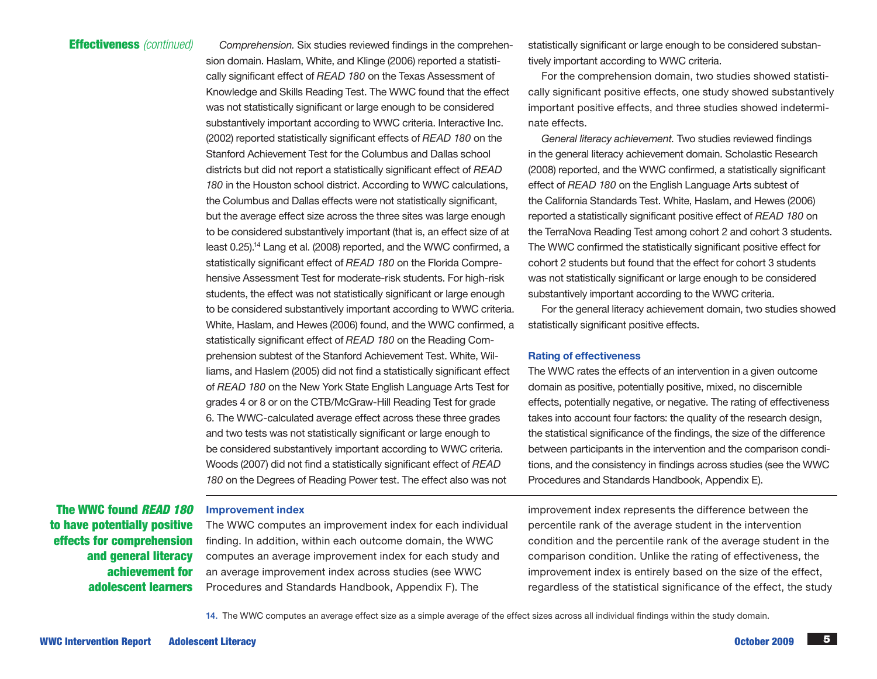Effectiveness *(continued) Comprehension.* Six studies reviewed findings in the comprehension domain. Haslam, White, and Klinge (2006) reported a statistically significant effect of *READ 180* on the Texas Assessment of Knowledge and Skills Reading Test. The WWC found that the effect was not statistically significant or large enough to be considered substantively important according to WWC criteria. Interactive Inc. (2002) reported statistically significant effects of *READ 180* on the Stanford Achievement Test for the Columbus and Dallas school districts but did not report a statistically significant effect of *READ 180* in the Houston school district. According to WWC calculations, the Columbus and Dallas effects were not statistically significant, but the average effect size across the three sites was large enough to be considered substantively important (that is, an effect size of at least 0.25).14 Lang et al. (2008) reported, and the WWC confirmed, a statistically significant effect of *READ 180* on the Florida Comprehensive Assessment Test for moderate-risk students. For high-risk students, the effect was not statistically significant or large enough to be considered substantively important according to WWC criteria. White, Haslam, and Hewes (2006) found, and the WWC confirmed, a statistically significant effect of *READ 180* on the Reading Comprehension subtest of the Stanford Achievement Test. White, Williams, and Haslem (2005) did not find a statistically significant effect of *READ 180* on the New York State English Language Arts Test for grades 4 or 8 or on the CTB/McGraw-Hill Reading Test for grade 6. The WWC-calculated average effect across these three grades and two tests was not statistically significant or large enough to be considered substantively important according to WWC criteria. Woods (2007) did not find a statistically significant effect of *READ 180* on the Degrees of Reading Power test. The effect also was not

> finding. In addition, within each outcome domain, the WWC computes an average improvement index for each study and an average improvement index across studies (see WWC Procedures and Standards Handbook, Appendix F). The

statistically significant or large enough to be considered substantively important according to WWC criteria.

For the comprehension domain, two studies showed statistically significant positive effects, one study showed substantively important positive effects, and three studies showed indeterminate effects.

*General literacy achievement.* Two studies reviewed findings in the general literacy achievement domain. Scholastic Research (2008) reported, and the WWC confirmed, a statistically significant effect of *READ 180* on the English Language Arts subtest of the California Standards Test. White, Haslam, and Hewes (2006) reported a statistically significant positive effect of *READ 180* on the TerraNova Reading Test among cohort 2 and cohort 3 students. The WWC confirmed the statistically significant positive effect for cohort 2 students but found that the effect for cohort 3 students was not statistically significant or large enough to be considered substantively important according to the WWC criteria.

For the general literacy achievement domain, two studies showed statistically significant positive effects.

## Rating of effectiveness

The WWC rates the effects of an intervention in a given outcome domain as positive, potentially positive, mixed, no discernible effects, potentially negative, or negative. The rating of effectiveness takes into account four factors: the quality of the research design, the statistical significance of the findings, the size of the difference between participants in the intervention and the comparison conditions, and the consistency in findings across studies (see the WWC Procedures and Standards Handbook, Appendix E).

improvement index represents the difference between the percentile rank of the average student in the intervention condition and the percentile rank of the average student in the comparison condition. Unlike the rating of effectiveness, the improvement index is entirely based on the size of the effect, regardless of the statistical significance of the effect, the study

14. The WWC computes an average effect size as a simple average of the effect sizes across all individual findings within the study domain.

The WWC found *READ 180*  Improvement index The WWC computes an improvement index for each individual

to have potentially positive effects for comprehension and general literacy achievement for adolescent learners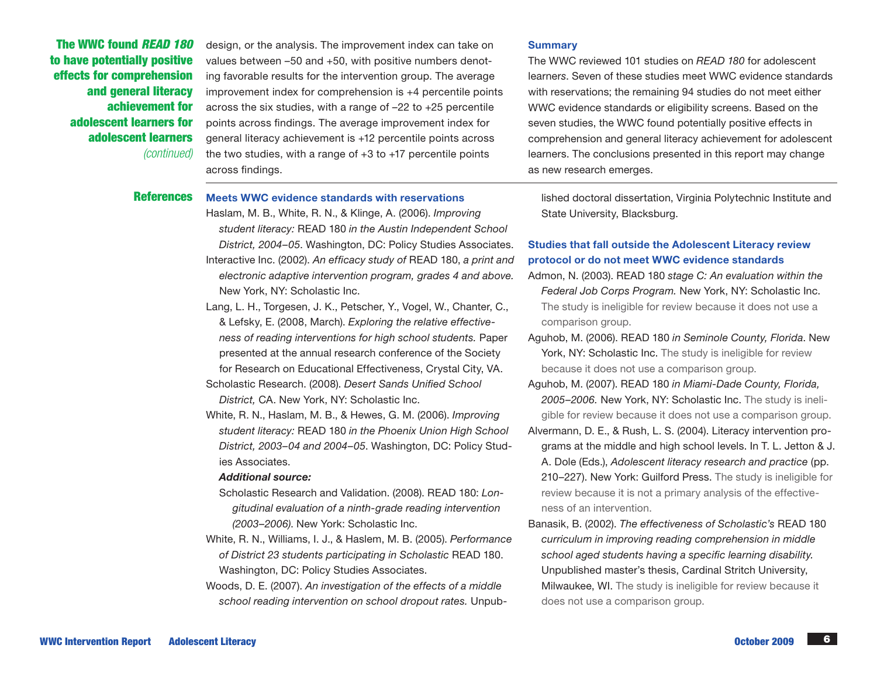The WWC found *READ 180*  to have potentially positive effects for comprehension and general literacy achievement for adolescent learners for adolescent learners *(continued)*

design, or the analysis. The improvement index can take on values between –50 and +50, with positive numbers denoting favorable results for the intervention group. The average improvement index for comprehension is +4 percentile points across the six studies, with a range of –22 to +25 percentile points across findings. The average improvement index for general literacy achievement is +12 percentile points across the two studies, with a range of +3 to +17 percentile points across findings.

#### **Summary**

The WWC reviewed 101 studies on *READ 180* for adolescent learner*s*. Seven of these studies meet WWC evidence standards with reservations; the remaining 94 studies do not meet either WWC evidence standards or eligibility screens. Based on the seven studies, the WWC found potentially positive effects in comprehension and general literacy achievement for adolescent learners. The conclusions presented in this report may change as new research emerges.

### References Meets WWC evidence standards with reservations

- Haslam, M. B., White, R. N., & Klinge, A. (2006). *Improving student literacy:* READ 180 *in the Austin Independent School District, 2004–05*. Washington, DC: Policy Studies Associates. Interactive Inc. (2002). *An efficacy study of* READ 180, *a print and electronic adaptive intervention program, grades 4 and above.*  New York, NY: Scholastic Inc.
- Lang, L. H., Torgesen, J. K., Petscher, Y., Vogel, W., Chanter, C., & Lefsky, E. (2008, March). *Exploring the relative effectiveness of reading interventions for high school students.* Paper presented at the annual research conference of the Society for Research on Educational Effectiveness, Crystal City, VA.
- Scholastic Research. (2008). *Desert Sands Unified School District,* CA. New York, NY: Scholastic Inc.
- White, R. N., Haslam, M. B., & Hewes, G. M. (2006). *Improving student literacy:* READ 180 *in the Phoenix Union High School District, 2003–04 and 2004–05*. Washington, DC: Policy Studies Associates.

#### *Additional source:*

- Scholastic Research and Validation. (2008). READ 180: *Longitudinal evaluation of a ninth-grade reading intervention (2003–2006)*. New York: Scholastic Inc.
- White, R. N., Williams, I. J., & Haslem, M. B. (2005). *Performance of District 23 students participating in Scholastic* READ 180. Washington, DC: Policy Studies Associates.
- Woods, D. E. (2007). *An investigation of the effects of a middle school reading intervention on school dropout rates.* Unpub-

lished doctoral dissertation, Virginia Polytechnic Institute and State University, Blacksburg.

### Studies that fall outside the Adolescent Literacy review protocol or do not meet WWC evidence standards

- Admon, N. (2003). READ 180 *stage C: An evaluation within the Federal Job Corps Program.* New York, NY: Scholastic Inc. The study is ineligible for review because it does not use a comparison group.
- Aguhob, M. (2006). READ 180 *in Seminole County, Florida*. New York, NY: Scholastic Inc. The study is ineligible for review because it does not use a comparison group.
- Aguhob, M. (2007). READ 180 *in Miami-Dade County, Florida, 2005–2006.* New York, NY: Scholastic Inc. The study is ineligible for review because it does not use a comparison group.
- Alvermann, D. E., & Rush, L. S. (2004). Literacy intervention programs at the middle and high school levels. In T. L. Jetton & J. A. Dole (Eds.), *Adolescent literacy research and practice* (pp. 210–227). New York: Guilford Press. The study is ineligible for review because it is not a primary analysis of the effectiveness of an intervention.
- Banasik, B. (2002). *The effectiveness of Scholastic's* READ 180 *curriculum in improving reading comprehension in middle school aged students having a specific learning disability.* Unpublished master's thesis, Cardinal Stritch University, Milwaukee, WI. The study is ineligible for review because it does not use a comparison group.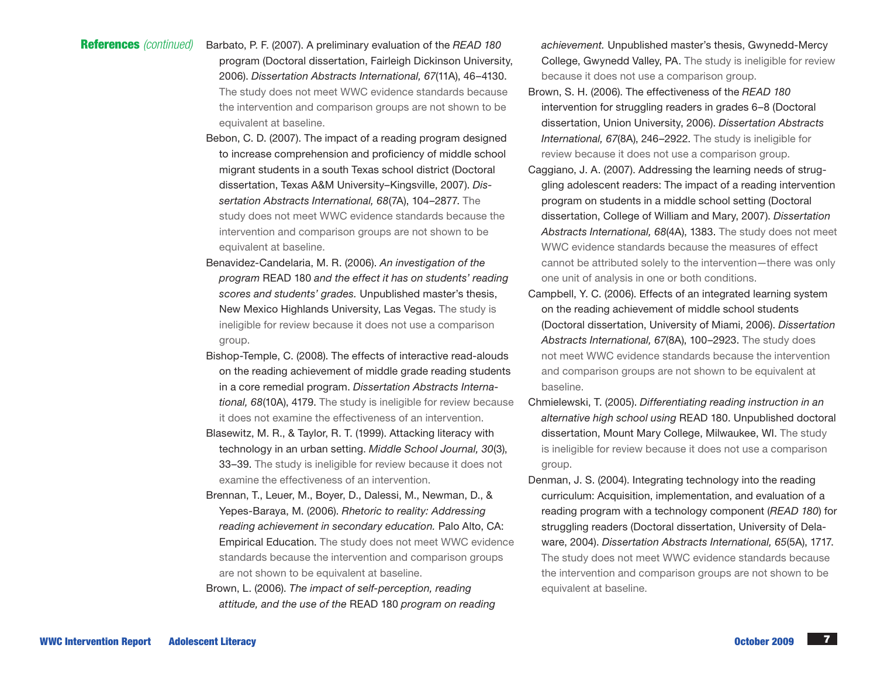# References *(continued)*

- Barbato, P. F. (2007). A preliminary evaluation of the *READ 180* program (Doctoral dissertation, Fairleigh Dickinson University, 2006). *Dissertation Abstracts International, 67*(11A), 46–4130. The study does not meet WWC evidence standards because the intervention and comparison groups are not shown to be equivalent at baseline.
- Bebon, C. D. (2007). The impact of a reading program designed to increase comprehension and proficiency of middle school migrant students in a south Texas school district (Doctoral dissertation, Texas A&M University–Kingsville, 2007). *Dissertation Abstracts International, 68*(7A), 104–2877. The study does not meet WWC evidence standards because the intervention and comparison groups are not shown to be equivalent at baseline.
- Benavidez-Candelaria, M. R. (2006). *An investigation of the program* READ 180 *and the effect it has on students' reading scores and students' grades.* Unpublished master's thesis, New Mexico Highlands University, Las Vegas. The study is ineligible for review because it does not use a comparison group.
- Bishop-Temple, C. (2008). The effects of interactive read-alouds on the reading achievement of middle grade reading students in a core remedial program. *Dissertation Abstracts International, 68*(10A), 4179. The study is ineligible for review because it does not examine the effectiveness of an intervention.
- Blasewitz, M. R., & Taylor, R. T. (1999). Attacking literacy with technology in an urban setting. *Middle School Journal, 30*(3), 33–39. The study is ineligible for review because it does not examine the effectiveness of an intervention.
- Brennan, T., Leuer, M., Boyer, D., Dalessi, M., Newman, D., & Yepes-Baraya, M. (2006). *Rhetoric to reality: Addressing reading achievement in secondary education.* Palo Alto, CA: Empirical Education. The study does not meet WWC evidence standards because the intervention and comparison groups are not shown to be equivalent at baseline.
- Brown, L. (2006). *The impact of self-perception, reading attitude, and the use of the* READ 180 *program on reading*

*achievement.* Unpublished master's thesis, Gwynedd-Mercy College, Gwynedd Valley, PA. The study is ineligible for review because it does not use a comparison group.

- Brown, S. H. (2006). The effectiveness of the *READ 180* intervention for struggling readers in grades 6–8 (Doctoral dissertation, Union University, 2006). *Dissertation Abstracts International, 67*(8A), 246–2922. The study is ineligible for review because it does not use a comparison group.
- Caggiano, J. A. (2007). Addressing the learning needs of struggling adolescent readers: The impact of a reading intervention program on students in a middle school setting (Doctoral dissertation, College of William and Mary, 2007). *Dissertation Abstracts International, 68*(4A), 1383. The study does not meet WWC evidence standards because the measures of effect cannot be attributed solely to the intervention—there was only one unit of analysis in one or both conditions.
- Campbell, Y. C. (2006). Effects of an integrated learning system on the reading achievement of middle school students (Doctoral dissertation, University of Miami, 2006). *Dissertation Abstracts International, 67*(8A), 100–2923. The study does not meet WWC evidence standards because the intervention and comparison groups are not shown to be equivalent at baseline.
- Chmielewski, T. (2005). *Differentiating reading instruction in an alternative high school using* READ 180. Unpublished doctoral dissertation, Mount Mary College, Milwaukee, WI. The study is ineligible for review because it does not use a comparison group.
- Denman, J. S. (2004). Integrating technology into the reading curriculum: Acquisition, implementation, and evaluation of a reading program with a technology component (*READ 180*) for struggling readers (Doctoral dissertation, University of Delaware, 2004). *Dissertation Abstracts International, 65*(5A), 1717. The study does not meet WWC evidence standards because the intervention and comparison groups are not shown to be equivalent at baseline.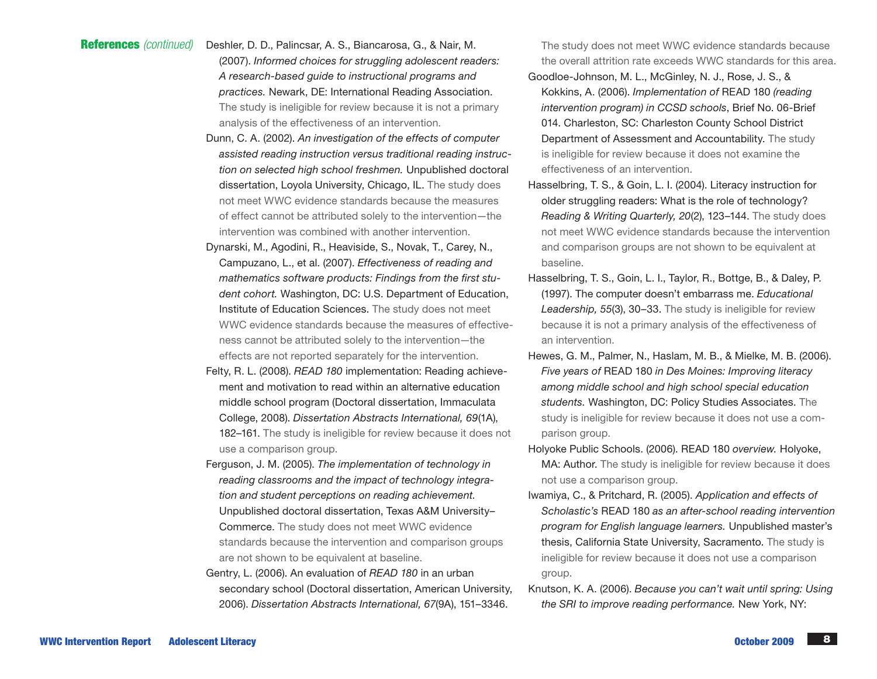#### Deshler, D. D., Palincsar, A. S., Biancarosa, G., & Nair, M. References *(continued)*

- (2007). *Informed choices for struggling adolescent readers: A research-based guide to instructional programs and practices.* Newark, DE: International Reading Association. The study is ineligible for review because it is not a primary analysis of the effectiveness of an intervention.
- Dunn, C. A. (2002). *An investigation of the effects of computer assisted reading instruction versus traditional reading instruction on selected high school freshmen.* Unpublished doctoral dissertation, Loyola University, Chicago, IL. The study does not meet WWC evidence standards because the measures of effect cannot be attributed solely to the intervention—the intervention was combined with another intervention.
- Dynarski, M., Agodini, R., Heaviside, S., Novak, T., Carey, N., Campuzano, L., et al. (2007). *Effectiveness of reading and mathematics software products: Findings from the first student cohort.* Washington, DC: U.S. Department of Education, Institute of Education Sciences. The study does not meet WWC evidence standards because the measures of effectiveness cannot be attributed solely to the intervention—the effects are not reported separately for the intervention.
- Felty, R. L. (2008). *READ 180* implementation: Reading achievement and motivation to read within an alternative education middle school program (Doctoral dissertation, Immaculata College, 2008). *Dissertation Abstracts International, 69*(1A), 182–161. The study is ineligible for review because it does not use a comparison group.
- Ferguson, J. M. (2005). *The implementation of technology in reading classrooms and the impact of technology integration and student perceptions on reading achievement.*  Unpublished doctoral dissertation, Texas A&M University– Commerce. The study does not meet WWC evidence standards because the intervention and comparison groups
	- are not shown to be equivalent at baseline.
- Gentry, L. (2006). An evaluation of *READ 180* in an urban secondary school (Doctoral dissertation, American University, 2006). *Dissertation Abstracts International, 67*(9A), 151–3346.

The study does not meet WWC evidence standards because the overall attrition rate exceeds WWC standards for this area.

- Goodloe-Johnson, M. L., McGinley, N. J., Rose, J. S., & Kokkins, A. (2006). *Implementation of* READ 180 *(reading intervention program) in CCSD schools*, Brief No. 06-Brief 014. Charleston, SC: Charleston County School District Department of Assessment and Accountability. The study is ineligible for review because it does not examine the effectiveness of an intervention.
- Hasselbring, T. S., & Goin, L. I. (2004). Literacy instruction for older struggling readers: What is the role of technology? *Reading & Writing Quarterly, 20*(2), 123–144. The study does not meet WWC evidence standards because the intervention and comparison groups are not shown to be equivalent at baseline.
- Hasselbring, T. S., Goin, L. I., Taylor, R., Bottge, B., & Daley, P. (1997). The computer doesn't embarrass me. *Educational Leadership, 55*(3), 30–33. The study is ineligible for review because it is not a primary analysis of the effectiveness of an intervention.
- Hewes, G. M., Palmer, N., Haslam, M. B., & Mielke, M. B. (2006). *Five years of* READ 180 *in Des Moines: Improving literacy among middle school and high school special education students.* Washington, DC: Policy Studies Associates. The study is ineligible for review because it does not use a comparison group.
- Holyoke Public Schools. (2006). READ 180 *overview.* Holyoke, MA: Author. The study is ineligible for review because it does not use a comparison group.
- Iwamiya, C., & Pritchard, R. (2005). *Application and effects of Scholastic's* READ 180 *as an after-school reading intervention program for English language learners.* Unpublished master's thesis, California State University, Sacramento. The study is ineligible for review because it does not use a comparison group.
- Knutson, K. A. (2006). *Because you can't wait until spring: Using the SRI to improve reading performance.* New York, NY: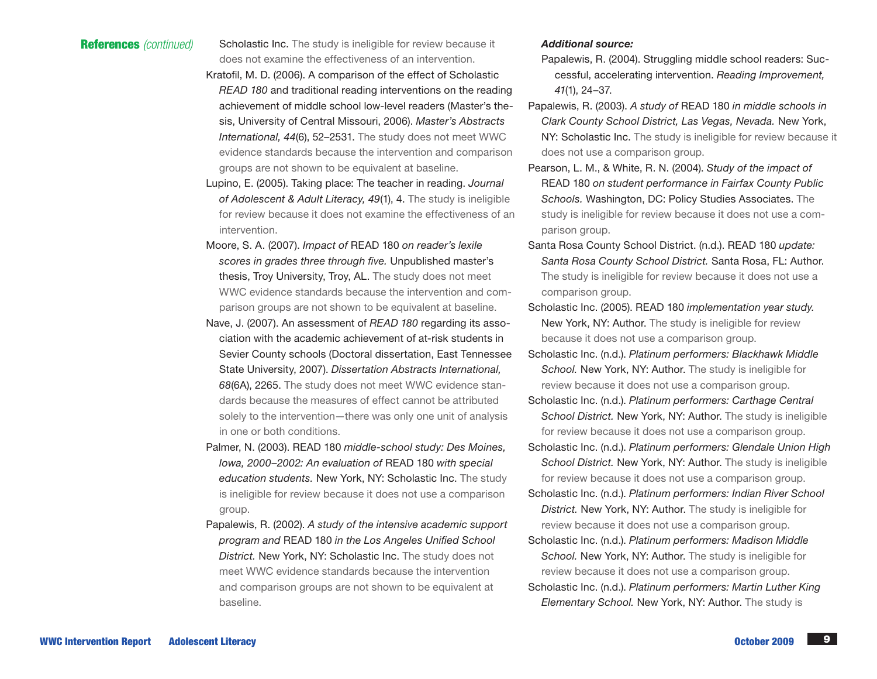**References** *(continued)* Scholastic Inc. The study is ineligible for review because it does not examine the effectiveness of an intervention.

- Kratofil, M. D. (2006). A comparison of the effect of Scholastic *READ 180* and traditional reading interventions on the reading achievement of middle school low-level readers (Master's thesis, University of Central Missouri, 2006). *Master's Abstracts International, 44*(6), 52–2531. The study does not meet WWC evidence standards because the intervention and comparison groups are not shown to be equivalent at baseline.
- Lupino, E. (2005). Taking place: The teacher in reading. *Journal of Adolescent & Adult Literacy, 49*(1), 4. The study is ineligible for review because it does not examine the effectiveness of an intervention.
- Moore, S. A. (2007). *Impact of* READ 180 *on reader's lexile scores in grades three through five.* Unpublished master's thesis, Troy University, Troy, AL. The study does not meet WWC evidence standards because the intervention and comparison groups are not shown to be equivalent at baseline.
- Nave, J. (2007). An assessment of *READ 180* regarding its association with the academic achievement of at-risk students in Sevier County schools (Doctoral dissertation, East Tennessee State University, 2007). *Dissertation Abstracts International, 68*(6A), 2265. The study does not meet WWC evidence standards because the measures of effect cannot be attributed solely to the intervention—there was only one unit of analysis in one or both conditions.
- Palmer, N. (2003). READ 180 *middle-school study: Des Moines, Iowa, 2000–2002: An evaluation of* READ 180 *with special education students.* New York, NY: Scholastic Inc. The study is ineligible for review because it does not use a comparison group.
- Papalewis, R. (2002). *A study of the intensive academic support program and* READ 180 *in the Los Angeles Unified School District.* New York, NY: Scholastic Inc. The study does not meet WWC evidence standards because the intervention and comparison groups are not shown to be equivalent at baseline.

### *Additional source:*

- Papalewis, R. (2004). Struggling middle school readers: Successful, accelerating intervention. *Reading Improvement, 41*(1), 24–37.
- Papalewis, R. (2003). *A study of* READ 180 *in middle schools in Clark County School District, Las Vegas, Nevada.* New York, NY: Scholastic Inc. The study is ineligible for review because it does not use a comparison group.
- Pearson, L. M., & White, R. N. (2004). *Study of the impact of*  READ 180 *on student performance in Fairfax County Public Schools.* Washington, DC: Policy Studies Associates. The study is ineligible for review because it does not use a comparison group.
- Santa Rosa County School District. (n.d.). READ 180 *update: Santa Rosa County School District.* Santa Rosa, FL: Author. The study is ineligible for review because it does not use a comparison group.
- Scholastic Inc. (2005). READ 180 *implementation year study.* New York, NY: Author. The study is ineligible for review because it does not use a comparison group.
- Scholastic Inc. (n.d.). *Platinum performers: Blackhawk Middle School.* New York, NY: Author. The study is ineligible for review because it does not use a comparison group.
- Scholastic Inc. (n.d.). *Platinum performers: Carthage Central School District.* New York, NY: Author. The study is ineligible for review because it does not use a comparison group.
- Scholastic Inc. (n.d.). *Platinum performers: Glendale Union High School District.* New York, NY: Author. The study is ineligible for review because it does not use a comparison group.
- Scholastic Inc. (n.d.). *Platinum performers: Indian River School District.* New York, NY: Author. The study is ineligible for review because it does not use a comparison group.
- Scholastic Inc. (n.d.). *Platinum performers: Madison Middle School.* New York, NY: Author. The study is ineligible for review because it does not use a comparison group.
- Scholastic Inc. (n.d.). *Platinum performers: Martin Luther King Elementary School.* New York, NY: Author. The study is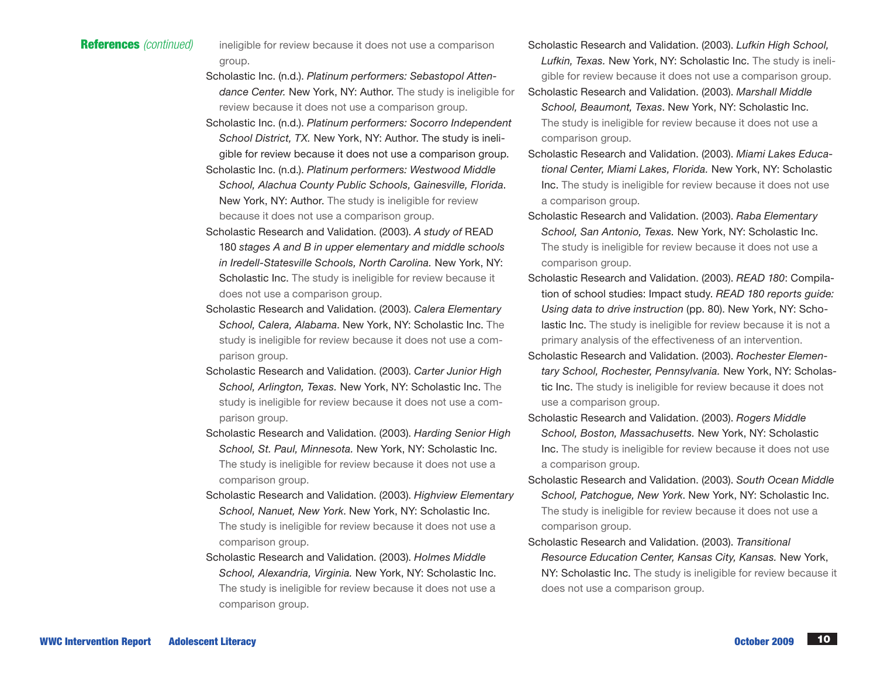- References *(continued)* ineligible for review because it does not use a comparison group.
	- Scholastic Inc. (n.d.). *Platinum performers: Sebastopol Attendance Center.* New York, NY: Author. The study is ineligible for review because it does not use a comparison group.
	- Scholastic Inc. (n.d.). *Platinum performers: Socorro Independent School District, TX.* New York, NY: Author. The study is ineligible for review because it does not use a comparison group.
	- Scholastic Inc. (n.d.). *Platinum performers: Westwood Middle School, Alachua County Public Schools, Gainesville, Florida*. New York, NY: Author. The study is ineligible for review because it does not use a comparison group.
	- Scholastic Research and Validation. (2003). *A study of* READ 180 *stages A and B in upper elementary and middle schools in Iredell-Statesville Schools, North Carolina.* New York, NY: Scholastic Inc. The study is ineligible for review because it does not use a comparison group.
	- Scholastic Research and Validation. (2003). *Calera Elementary School, Calera, Alabama*. New York, NY: Scholastic Inc. The study is ineligible for review because it does not use a comparison group.
	- Scholastic Research and Validation. (2003). *Carter Junior High School, Arlington, Texas.* New York, NY: Scholastic Inc. The study is ineligible for review because it does not use a comparison group.
	- Scholastic Research and Validation. (2003). *Harding Senior High School, St. Paul, Minnesota.* New York, NY: Scholastic Inc. The study is ineligible for review because it does not use a comparison group.
	- Scholastic Research and Validation. (2003). *Highview Elementary School, Nanuet, New York*. New York, NY: Scholastic Inc. The study is ineligible for review because it does not use a comparison group.
	- Scholastic Research and Validation. (2003). *Holmes Middle School, Alexandria, Virginia.* New York, NY: Scholastic Inc. The study is ineligible for review because it does not use a comparison group.
- Scholastic Research and Validation. (2003). *Lufkin High School, Lufkin, Texas.* New York, NY: Scholastic Inc. The study is ineligible for review because it does not use a comparison group.
- Scholastic Research and Validation. (2003). *Marshall Middle School, Beaumont, Texas*. New York, NY: Scholastic Inc. The study is ineligible for review because it does not use a comparison group.
- Scholastic Research and Validation. (2003). *Miami Lakes Educational Center, Miami Lakes, Florida.* New York, NY: Scholastic Inc. The study is ineligible for review because it does not use a comparison group.
- Scholastic Research and Validation. (2003). *Raba Elementary School, San Antonio, Texas.* New York, NY: Scholastic Inc. The study is ineligible for review because it does not use a comparison group.
- Scholastic Research and Validation. (2003). *READ 180*: Compilation of school studies: Impact study. *READ 180 reports guide: Using data to drive instruction* (pp. 80). New York, NY: Scholastic Inc. The study is ineligible for review because it is not a primary analysis of the effectiveness of an intervention.
- Scholastic Research and Validation. (2003). *Rochester Elementary School, Rochester, Pennsylvania.* New York, NY: Scholastic Inc. The study is ineligible for review because it does not use a comparison group.
- Scholastic Research and Validation. (2003). *Rogers Middle School, Boston, Massachusetts.* New York, NY: Scholastic Inc. The study is ineligible for review because it does not use a comparison group.
- Scholastic Research and Validation. (2003). *South Ocean Middle School, Patchogue, New York*. New York, NY: Scholastic Inc. The study is ineligible for review because it does not use a comparison group.
- Scholastic Research and Validation. (2003). *Transitional Resource Education Center, Kansas City, Kansas.* New York, NY: Scholastic Inc. The study is ineligible for review because it does not use a comparison group.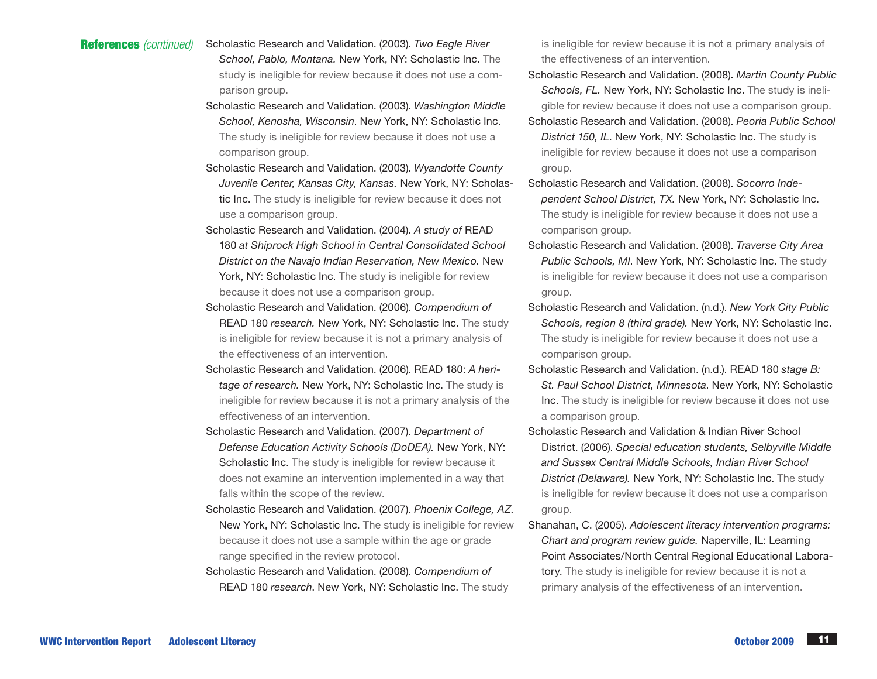# References *(continued)* Scholastic Research and Validation. (2003). *Two Eagle River*

- *School, Pablo, Montana.* New York, NY: Scholastic Inc. The study is ineligible for review because it does not use a comparison group.
- Scholastic Research and Validation. (2003). *Washington Middle School, Kenosha, Wisconsin*. New York, NY: Scholastic Inc. The study is ineligible for review because it does not use a comparison group.
- Scholastic Research and Validation. (2003). *Wyandotte County Juvenile Center, Kansas City, Kansas.* New York, NY: Scholastic Inc. The study is ineligible for review because it does not use a comparison group.
- Scholastic Research and Validation. (2004). *A study of* READ 180 *at Shiprock High School in Central Consolidated School District on the Navajo Indian Reservation, New Mexico.* New York, NY: Scholastic Inc. The study is ineligible for review because it does not use a comparison group.
- Scholastic Research and Validation. (2006). *Compendium of*  READ 180 *research.* New York, NY: Scholastic Inc. The study is ineligible for review because it is not a primary analysis of the effectiveness of an intervention.
- Scholastic Research and Validation. (2006). READ 180: *A heritage of research.* New York, NY: Scholastic Inc. The study is ineligible for review because it is not a primary analysis of the effectiveness of an intervention.
- Scholastic Research and Validation. (2007). *Department of Defense Education Activity Schools (DoDEA).* New York, NY: Scholastic Inc. The study is ineligible for review because it does not examine an intervention implemented in a way that falls within the scope of the review.
- Scholastic Research and Validation. (2007). *Phoenix College, AZ.*  New York, NY: Scholastic Inc. The study is ineligible for review because it does not use a sample within the age or grade range specified in the review protocol.
- Scholastic Research and Validation. (2008). *Compendium of* READ 180 *research*. New York, NY: Scholastic Inc. The study

is ineligible for review because it is not a primary analysis of the effectiveness of an intervention.

- Scholastic Research and Validation. (2008). *Martin County Public Schools, FL.* New York, NY: Scholastic Inc. The study is ineligible for review because it does not use a comparison group.
- Scholastic Research and Validation. (2008). *Peoria Public School District 150, IL*. New York, NY: Scholastic Inc. The study is ineligible for review because it does not use a comparison group.
- Scholastic Research and Validation. (2008). *Socorro Independent School District, TX.* New York, NY: Scholastic Inc. The study is ineligible for review because it does not use a comparison group.
- Scholastic Research and Validation. (2008). *Traverse City Area Public Schools, MI*. New York, NY: Scholastic Inc. The study is ineligible for review because it does not use a comparison group.
- Scholastic Research and Validation. (n.d.). *New York City Public Schools, region 8 (third grade).* New York, NY: Scholastic Inc. The study is ineligible for review because it does not use a comparison group.
- Scholastic Research and Validation. (n.d.). READ 180 *stage B: St. Paul School District, Minnesota*. New York, NY: Scholastic Inc. The study is ineligible for review because it does not use a comparison group.
- Scholastic Research and Validation & Indian River School District. (2006). *Special education students, Selbyville Middle and Sussex Central Middle Schools, Indian River School District (Delaware).* New York, NY: Scholastic Inc. The study is ineligible for review because it does not use a comparison group.
- Shanahan, C. (2005). *Adolescent literacy intervention programs: Chart and program review guide.* Naperville, IL: Learning Point Associates/North Central Regional Educational Laboratory. The study is ineligible for review because it is not a primary analysis of the effectiveness of an intervention.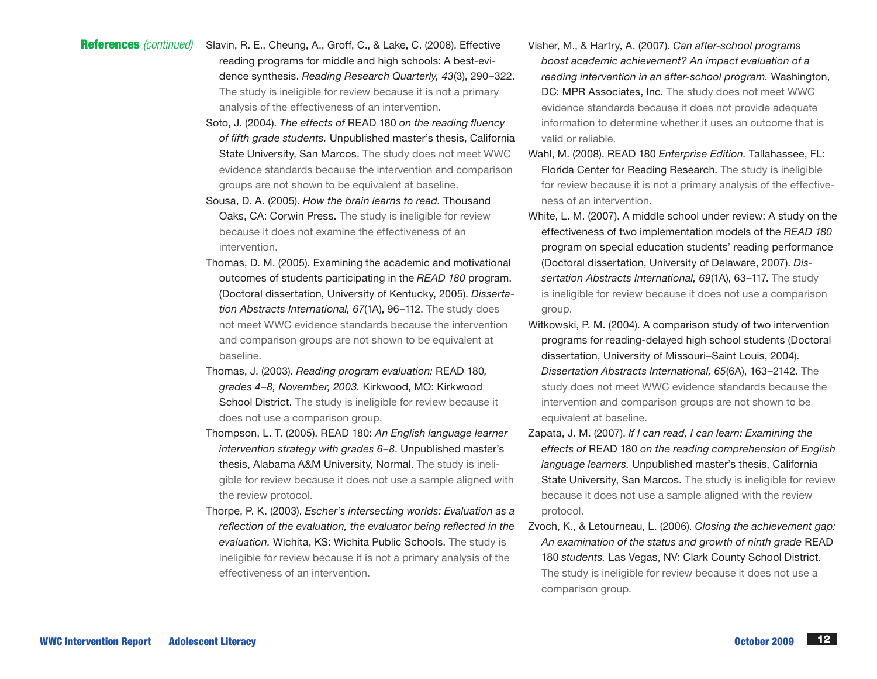# References *(continued)* Slavin, R. E., Cheung, A., Groff, C., & Lake, C. (2008). Effective

- reading programs for middle and high schools: A best-evidence synthesis. *Reading Research Quarterly, 43*(3), 290–322. The study is ineligible for review because it is not a primary analysis of the effectiveness of an intervention.
- Soto, J. (2004). *The effects of* READ 180 *on the reading fluency of fifth grade students.* Unpublished master's thesis, California State University, San Marcos. The study does not meet WWC evidence standards because the intervention and comparison groups are not shown to be equivalent at baseline.
- Sousa, D. A. (2005). *How the brain learns to read.* Thousand Oaks, CA: Corwin Press. The study is ineligible for review because it does not examine the effectiveness of an intervention.
- Thomas, D. M. (2005). Examining the academic and motivational outcomes of students participating in the *READ 180* program. (Doctoral dissertation, University of Kentucky, 2005). *Dissertation Abstracts International, 67*(1A), 96–112. The study does not meet WWC evidence standards because the intervention and comparison groups are not shown to be equivalent at baseline.
- Thomas, J. (2003). *Reading program evaluation:* READ 180*, grades 4–8, November, 2003.* Kirkwood, MO: Kirkwood School District. The study is ineligible for review because it does not use a comparison group.
- Thompson, L. T. (2005). READ 180: *An English language learner intervention strategy with grades 6–8*. Unpublished master's thesis, Alabama A&M University, Normal. The study is ineligible for review because it does not use a sample aligned with the review protocol.
- Thorpe, P. K. (2003). *Escher's intersecting worlds: Evaluation as a reflection of the evaluation, the evaluator being reflected in the evaluation.* Wichita, KS: Wichita Public Schools. The study is ineligible for review because it is not a primary analysis of the effectiveness of an intervention.
- Visher, M., & Hartry, A. (2007). *Can after-school programs boost academic achievement? An impact evaluation of a reading intervention in an after-school program.* Washington, DC: MPR Associates, Inc. The study does not meet WWC evidence standards because it does not provide adequate information to determine whether it uses an outcome that is valid or reliable.
- Wahl, M. (2008). READ 180 *Enterprise Edition.* Tallahassee, FL: Florida Center for Reading Research. The study is ineligible for review because it is not a primary analysis of the effectiveness of an intervention.
- White, L. M. (2007). A middle school under review: A study on the effectiveness of two implementation models of the *READ 180* program on special education students' reading performance (Doctoral dissertation, University of Delaware, 2007). *Dissertation Abstracts International, 69*(1A), 63–117. The study is ineligible for review because it does not use a comparison group.
- Witkowski, P. M. (2004). A comparison study of two intervention programs for reading-delayed high school students (Doctoral dissertation, University of Missouri–Saint Louis, 2004). *Dissertation Abstracts International, 65*(6A), 163–2142. The study does not meet WWC evidence standards because the intervention and comparison groups are not shown to be equivalent at baseline.
- Zapata, J. M. (2007). *If I can read, I can learn: Examining the effects of* READ 180 *on the reading comprehension of English language learners.* Unpublished master's thesis, California State University, San Marcos. The study is ineligible for review because it does not use a sample aligned with the review protocol.
- Zvoch, K., & Letourneau, L. (2006). *Closing the achievement gap: An examination of the status and growth of ninth grade* READ 180 *students.* Las Vegas, NV: Clark County School District. The study is ineligible for review because it does not use a comparison group.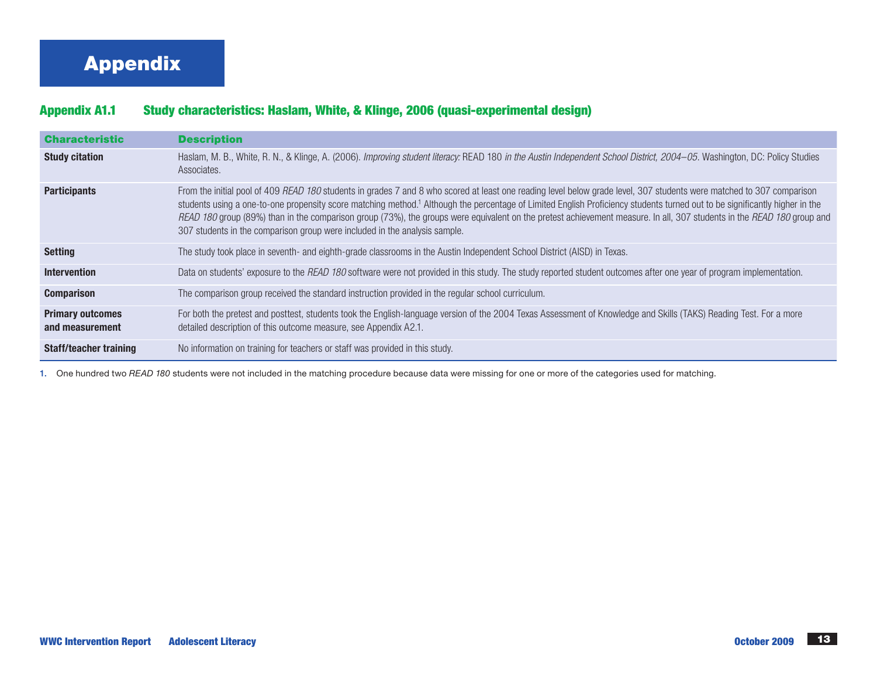# Appendix

# Appendix A1.1 Study characteristics: Haslam, White, & Klinge, 2006 (quasi-experimental design)

| <b>Characteristic</b>                      | <b>Description</b>                                                                                                                                                                                                                                                                                                                                                                                                                                                                                                                                                                                                       |
|--------------------------------------------|--------------------------------------------------------------------------------------------------------------------------------------------------------------------------------------------------------------------------------------------------------------------------------------------------------------------------------------------------------------------------------------------------------------------------------------------------------------------------------------------------------------------------------------------------------------------------------------------------------------------------|
| <b>Study citation</b>                      | Haslam, M. B., White, R. N., & Klinge, A. (2006). Improving student literacy: READ 180 in the Austin Independent School District, 2004-05. Washington, DC: Policy Studies<br>Associates.                                                                                                                                                                                                                                                                                                                                                                                                                                 |
| <b>Participants</b>                        | From the initial pool of 409 READ 180 students in grades 7 and 8 who scored at least one reading level below grade level, 307 students were matched to 307 comparison<br>students using a one-to-one propensity score matching method. <sup>1</sup> Although the percentage of Limited English Proficiency students turned out to be significantly higher in the<br>READ 180 group (89%) than in the comparison group (73%), the groups were equivalent on the pretest achievement measure. In all, 307 students in the READ 180 group and<br>307 students in the comparison group were included in the analysis sample. |
| <b>Setting</b>                             | The study took place in seventh- and eighth-grade classrooms in the Austin Independent School District (AISD) in Texas.                                                                                                                                                                                                                                                                                                                                                                                                                                                                                                  |
| <b>Intervention</b>                        | Data on students' exposure to the READ 180 software were not provided in this study. The study reported student outcomes after one year of program implementation.                                                                                                                                                                                                                                                                                                                                                                                                                                                       |
| <b>Comparison</b>                          | The comparison group received the standard instruction provided in the regular school curriculum.                                                                                                                                                                                                                                                                                                                                                                                                                                                                                                                        |
| <b>Primary outcomes</b><br>and measurement | For both the pretest and posttest, students took the English-language version of the 2004 Texas Assessment of Knowledge and Skills (TAKS) Reading Test. For a more<br>detailed description of this outcome measure, see Appendix A2.1.                                                                                                                                                                                                                                                                                                                                                                                   |
| <b>Staff/teacher training</b>              | No information on training for teachers or staff was provided in this study.                                                                                                                                                                                                                                                                                                                                                                                                                                                                                                                                             |

1. One hundred two *READ 180* students were not included in the matching procedure because data were missing for one or more of the categories used for matching.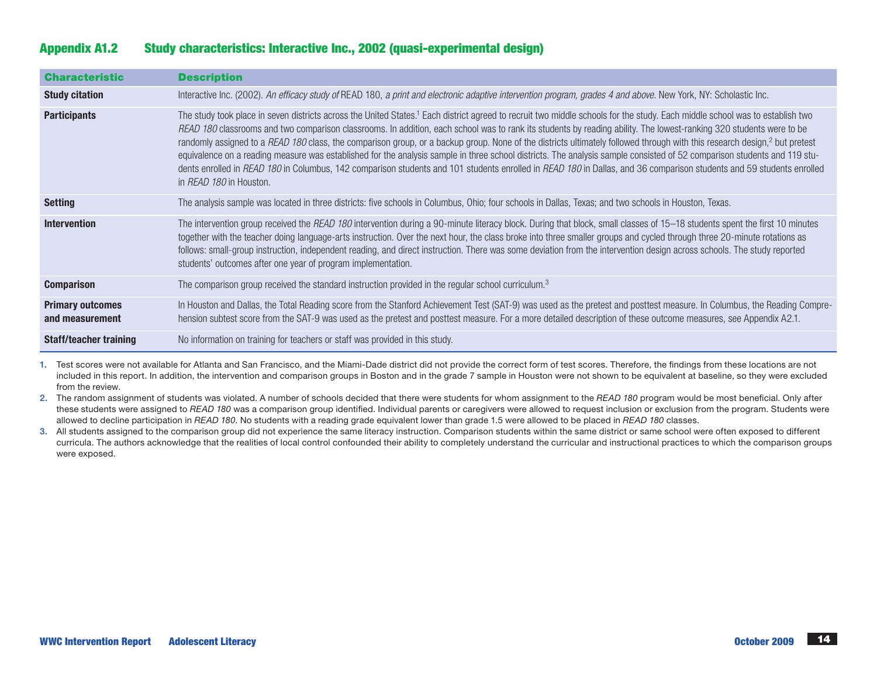# Characteristic Description **Study citation** Interactive Inc. (2002). An efficacy study of READ 180, a print and electronic adaptive intervention program, grades 4 and above. New York, NY: Scholastic Inc. Participants The study took place in seven districts across the United States.<sup>1</sup> Each district agreed to recruit two middle schools for the study. Each middle school was to establish two *READ 180* classrooms and two comparison classrooms. In addition, each school was to rank its students by reading ability. The lowest-ranking 320 students were to be randomly assigned to a READ 180 class, the comparison group, or a backup group. None of the districts ultimately followed through with this research design,<sup>2</sup> but pretest equivalence on a reading measure was established for the analysis sample in three school districts. The analysis sample consisted of 52 comparison students and 119 students enrolled in *READ 180* in Columbus, 142 comparison students and 101 students enrolled in *READ 180* in Dallas, and 36 comparison students and 59 students enrolled in *READ 180* in Houston. Setting The analysis sample was located in three districts: five schools in Columbus, Ohio; four schools in Dallas, Texas; and two schools in Houston, Texas. Intervention The intervention group received the *READ 180* intervention during a 90-minute literacy block. During that block, small classes of 15–18 students spent the first 10 minutes together with the teacher doing language-arts instruction. Over the next hour, the class broke into three smaller groups and cycled through three 20-minute rotations as follows: small-group instruction, independent reading, and direct instruction. There was some deviation from the intervention design across schools. The study reported students' outcomes after one year of program implementation. **Comparison** The comparison group received the standard instruction provided in the regular school curriculum.<sup>3</sup> Primary outcomes and measurement In Houston and Dallas, the Total Reading score from the Stanford Achievement Test (SAT-9) was used as the pretest and posttest measure. In Columbus, the Reading Comprehension subtest score from the SAT-9 was used as the pretest and posttest measure. For a more detailed description of these outcome measures, see Appendix A2.1. **Staff/teacher training** No information on training for teachers or staff was provided in this study.

Appendix A1.2 Study characteristics: Interactive Inc., 2002 (quasi-experimental design)

1. Test scores were not available for Atlanta and San Francisco, and the Miami-Dade district did not provide the correct form of test scores. Therefore, the findings from these locations are not included in this report. In addition, the intervention and comparison groups in Boston and in the grade 7 sample in Houston were not shown to be equivalent at baseline, so they were excluded from the review.

2. The random assignment of students was violated. A number of schools decided that there were students for whom assignment to the *READ 180* program would be most beneficial. Only after these students were assigned to *READ 180* was a comparison group identified. Individual parents or caregivers were allowed to request inclusion or exclusion from the program. Students were allowed to decline participation in *READ 180*. No students with a reading grade equivalent lower than grade 1.5 were allowed to be placed in *READ 180* classes.

3. All students assigned to the comparison group did not experience the same literacy instruction. Comparison students within the same district or same school were often exposed to different curricula. The authors acknowledge that the realities of local control confounded their ability to completely understand the curricular and instructional practices to which the comparison groups were exposed.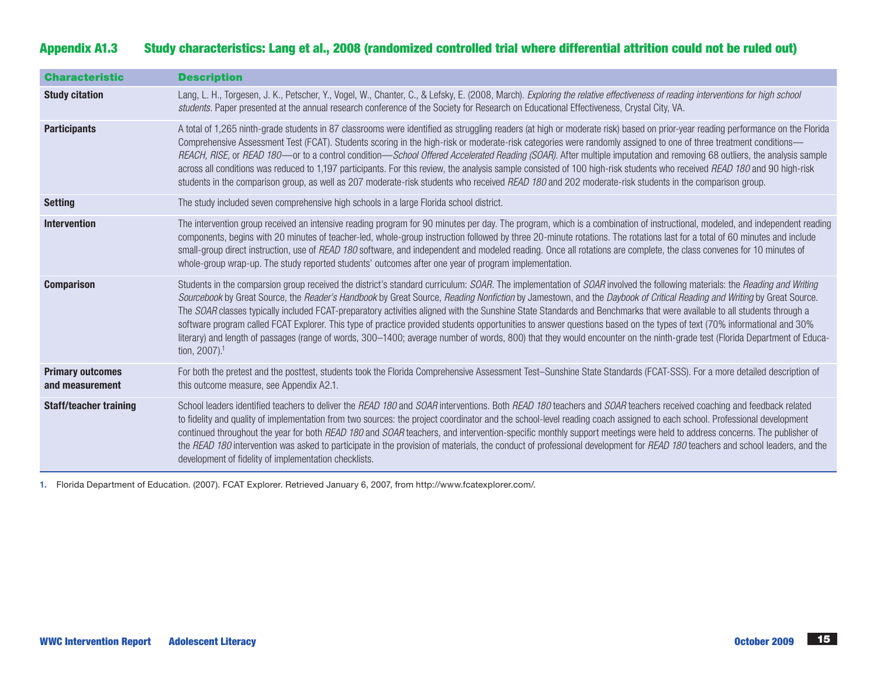# Appendix A1.3 Study characteristics: Lang et al., 2008 (randomized controlled trial where differential attrition could not be ruled out)

| <b>Characteristic</b>                      | <b>Description</b>                                                                                                                                                                                                                                                                                                                                                                                                                                                                                                                                                                                                                                                                                                                                                                                                                                                                                             |
|--------------------------------------------|----------------------------------------------------------------------------------------------------------------------------------------------------------------------------------------------------------------------------------------------------------------------------------------------------------------------------------------------------------------------------------------------------------------------------------------------------------------------------------------------------------------------------------------------------------------------------------------------------------------------------------------------------------------------------------------------------------------------------------------------------------------------------------------------------------------------------------------------------------------------------------------------------------------|
| <b>Study citation</b>                      | Lang, L. H., Torgesen, J. K., Petscher, Y., Vogel, W., Chanter, C., & Lefsky, E. (2008, March). Exploring the relative effectiveness of reading interventions for high school<br>students. Paper presented at the annual research conference of the Society for Research on Educational Effectiveness, Crystal City, VA.                                                                                                                                                                                                                                                                                                                                                                                                                                                                                                                                                                                       |
| <b>Participants</b>                        | A total of 1,265 ninth-grade students in 87 classrooms were identified as struggling readers (at high or moderate risk) based on prior-year reading performance on the Florida<br>Comprehensive Assessment Test (FCAT). Students scoring in the high-risk or moderate-risk categories were randomly assigned to one of three treatment conditions—<br>REACH, RISE, or READ 180—or to a control condition—School Offered Accelerated Reading (SOAR). After multiple imputation and removing 68 outliers, the analysis sample<br>across all conditions was reduced to 1,197 participants. For this review, the analysis sample consisted of 100 high-risk students who received READ 180 and 90 high-risk<br>students in the comparison group, as well as 207 moderate-risk students who received READ 180 and 202 moderate-risk students in the comparison group.                                               |
| <b>Setting</b>                             | The study included seven comprehensive high schools in a large Florida school district.                                                                                                                                                                                                                                                                                                                                                                                                                                                                                                                                                                                                                                                                                                                                                                                                                        |
| <b>Intervention</b>                        | The intervention group received an intensive reading program for 90 minutes per day. The program, which is a combination of instructional, modeled, and independent reading<br>components, begins with 20 minutes of teacher-led, whole-group instruction followed by three 20-minute rotations. The rotations last for a total of 60 minutes and include<br>small-group direct instruction, use of READ 180 software, and independent and modeled reading. Once all rotations are complete, the class convenes for 10 minutes of<br>whole-group wrap-up. The study reported students' outcomes after one year of program implementation.                                                                                                                                                                                                                                                                      |
| <b>Comparison</b>                          | Students in the comparsion group received the district's standard curriculum: SOAR. The implementation of SOAR involved the following materials: the Reading and Writing<br>Sourcebook by Great Source, the Reader's Handbook by Great Source, Reading Nonfiction by Jamestown, and the Daybook of Critical Reading and Writing by Great Source.<br>The SOAR classes typically included FCAT-preparatory activities aligned with the Sunshine State Standards and Benchmarks that were available to all students through a<br>software program called FCAT Explorer. This type of practice provided students opportunities to answer questions based on the types of text (70% informational and 30%<br>literary) and length of passages (range of words, 300-1400; average number of words, 800) that they would encounter on the ninth-grade test (Florida Department of Educa-<br>tion, 2007). <sup>1</sup> |
| <b>Primary outcomes</b><br>and measurement | For both the pretest and the posttest, students took the Florida Comprehensive Assessment Test-Sunshine State Standards (FCAT-SSS). For a more detailed description of<br>this outcome measure, see Appendix A2.1.                                                                                                                                                                                                                                                                                                                                                                                                                                                                                                                                                                                                                                                                                             |
| <b>Staff/teacher training</b>              | School leaders identified teachers to deliver the READ 180 and SOAR interventions. Both READ 180 teachers and SOAR teachers received coaching and feedback related<br>to fidelity and quality of implementation from two sources: the project coordinator and the school-level reading coach assigned to each school. Professional development<br>continued throughout the year for both READ 180 and SOAR teachers, and intervention-specific monthly support meetings were held to address concerns. The publisher of<br>the READ 180 intervention was asked to participate in the provision of materials, the conduct of professional development for READ 180 teachers and school leaders, and the<br>development of fidelity of implementation checklists.                                                                                                                                                |

1. Florida Department of Education. (2007). FCAT Explorer. Retrieved January 6, 2007, from [http://www.fcatexplorer.com/.](http://www.fcatexplorer.com/)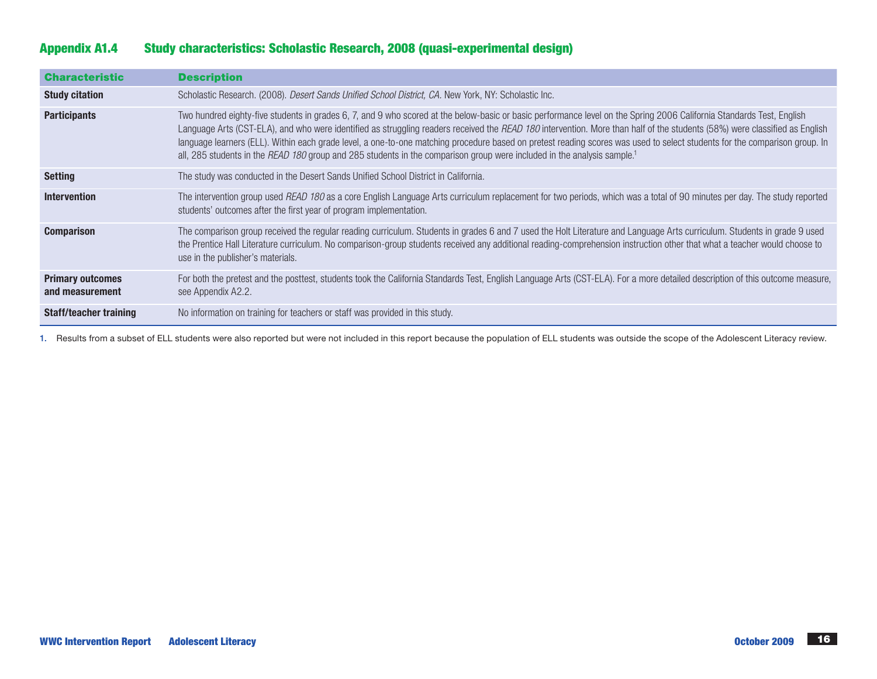# Appendix A1.4 Study characteristics: Scholastic Research, 2008 (quasi-experimental design)

| <b>Characteristic</b>                      | <b>Description</b>                                                                                                                                                                                                                                                                                                                                                                                                                                                                                                                                                                                                                                                              |
|--------------------------------------------|---------------------------------------------------------------------------------------------------------------------------------------------------------------------------------------------------------------------------------------------------------------------------------------------------------------------------------------------------------------------------------------------------------------------------------------------------------------------------------------------------------------------------------------------------------------------------------------------------------------------------------------------------------------------------------|
| <b>Study citation</b>                      | Scholastic Research. (2008). <i>Desert Sands Unified School District, CA.</i> New York, NY: Scholastic Inc.                                                                                                                                                                                                                                                                                                                                                                                                                                                                                                                                                                     |
| <b>Participants</b>                        | Two hundred eighty-five students in grades 6, 7, and 9 who scored at the below-basic or basic performance level on the Spring 2006 California Standards Test, English<br>Language Arts (CST-ELA), and who were identified as struggling readers received the <i>READ 180</i> intervention. More than half of the students (58%) were classified as English<br>language learners (ELL). Within each grade level, a one-to-one matching procedure based on pretest reading scores was used to select students for the comparison group. In<br>all, 285 students in the READ 180 group and 285 students in the comparison group were included in the analysis sample. <sup>1</sup> |
| <b>Setting</b>                             | The study was conducted in the Desert Sands Unified School District in California.                                                                                                                                                                                                                                                                                                                                                                                                                                                                                                                                                                                              |
| <b>Intervention</b>                        | The intervention group used READ 180 as a core English Language Arts curriculum replacement for two periods, which was a total of 90 minutes per day. The study reported<br>students' outcomes after the first year of program implementation.                                                                                                                                                                                                                                                                                                                                                                                                                                  |
| <b>Comparison</b>                          | The comparison group received the regular reading curriculum. Students in grades 6 and 7 used the Holt Literature and Language Arts curriculum. Students in grade 9 used<br>the Prentice Hall Literature curriculum. No comparison-group students received any additional reading-comprehension instruction other that what a teacher would choose to<br>use in the publisher's materials.                                                                                                                                                                                                                                                                                      |
| <b>Primary outcomes</b><br>and measurement | For both the pretest and the posttest, students took the California Standards Test, English Language Arts (CST-ELA). For a more detailed description of this outcome measure,<br>see Appendix A2.2.                                                                                                                                                                                                                                                                                                                                                                                                                                                                             |
| <b>Staff/teacher training</b>              | No information on training for teachers or staff was provided in this study.                                                                                                                                                                                                                                                                                                                                                                                                                                                                                                                                                                                                    |

1. Results from a subset of ELL students were also reported but were not included in this report because the population of ELL students was outside the scope of the Adolescent Literacy review.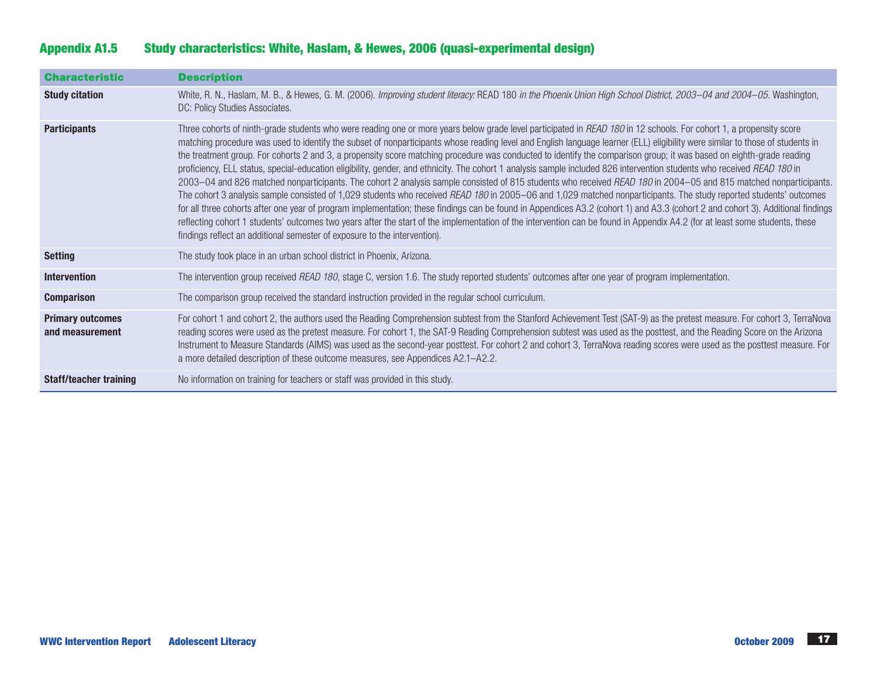| <b>Characteristic</b>                      | <b>Description</b>                                                                                                                                                                                                                                                                                                                                                                                                                                                                                                                                                                                                                                                                                                                                                                                                                                                                                                                                                                                                                                                                                                                                                                                                                                                                                                                                                                                                                                                                                |
|--------------------------------------------|---------------------------------------------------------------------------------------------------------------------------------------------------------------------------------------------------------------------------------------------------------------------------------------------------------------------------------------------------------------------------------------------------------------------------------------------------------------------------------------------------------------------------------------------------------------------------------------------------------------------------------------------------------------------------------------------------------------------------------------------------------------------------------------------------------------------------------------------------------------------------------------------------------------------------------------------------------------------------------------------------------------------------------------------------------------------------------------------------------------------------------------------------------------------------------------------------------------------------------------------------------------------------------------------------------------------------------------------------------------------------------------------------------------------------------------------------------------------------------------------------|
| <b>Study citation</b>                      | White, R. N., Haslam, M. B., & Hewes, G. M. (2006). Improving student literacy: READ 180 in the Phoenix Union High School District, 2003-04 and 2004-05. Washington,<br>DC: Policy Studies Associates.                                                                                                                                                                                                                                                                                                                                                                                                                                                                                                                                                                                                                                                                                                                                                                                                                                                                                                                                                                                                                                                                                                                                                                                                                                                                                            |
| <b>Participants</b>                        | Three cohorts of ninth-grade students who were reading one or more years below grade level participated in READ 180 in 12 schools. For cohort 1, a propensity score<br>matching procedure was used to identify the subset of nonparticipants whose reading level and English language learner (ELL) eligibility were similar to those of students in<br>the treatment group. For cohorts 2 and 3, a propensity score matching procedure was conducted to identify the comparison group; it was based on eighth-grade reading<br>proficiency, ELL status, special-education eligibility, gender, and ethnicity. The cohort 1 analysis sample included 826 intervention students who received READ 180 in<br>2003-04 and 826 matched nonparticipants. The cohort 2 analysis sample consisted of 815 students who received READ 180 in 2004-05 and 815 matched nonparticipants.<br>The cohort 3 analysis sample consisted of 1,029 students who received READ 180 in 2005-06 and 1,029 matched nonparticipants. The study reported students' outcomes<br>for all three cohorts after one year of program implementation; these findings can be found in Appendices A3.2 (cohort 1) and A3.3 (cohort 2 and cohort 3). Additional findings<br>reflecting cohort 1 students' outcomes two years after the start of the implementation of the intervention can be found in Appendix A4.2 (for at least some students, these<br>findings reflect an additional semester of exposure to the intervention). |
| <b>Setting</b>                             | The study took place in an urban school district in Phoenix, Arizona.                                                                                                                                                                                                                                                                                                                                                                                                                                                                                                                                                                                                                                                                                                                                                                                                                                                                                                                                                                                                                                                                                                                                                                                                                                                                                                                                                                                                                             |
| <b>Intervention</b>                        | The intervention group received READ 180, stage C, version 1.6. The study reported students' outcomes after one year of program implementation.                                                                                                                                                                                                                                                                                                                                                                                                                                                                                                                                                                                                                                                                                                                                                                                                                                                                                                                                                                                                                                                                                                                                                                                                                                                                                                                                                   |
| <b>Comparison</b>                          | The comparison group received the standard instruction provided in the regular school curriculum.                                                                                                                                                                                                                                                                                                                                                                                                                                                                                                                                                                                                                                                                                                                                                                                                                                                                                                                                                                                                                                                                                                                                                                                                                                                                                                                                                                                                 |
| <b>Primary outcomes</b><br>and measurement | For cohort 1 and cohort 2, the authors used the Reading Comprehension subtest from the Stanford Achievement Test (SAT-9) as the pretest measure. For cohort 3, TerraNova<br>reading scores were used as the pretest measure. For cohort 1, the SAT-9 Reading Comprehension subtest was used as the posttest, and the Reading Score on the Arizona<br>Instrument to Measure Standards (AIMS) was used as the second-year posttest. For cohort 2 and cohort 3, TerraNova reading scores were used as the posttest measure. For<br>a more detailed description of these outcome measures, see Appendices A2.1-A2.2.                                                                                                                                                                                                                                                                                                                                                                                                                                                                                                                                                                                                                                                                                                                                                                                                                                                                                  |
| <b>Staff/teacher training</b>              | No information on training for teachers or staff was provided in this study.                                                                                                                                                                                                                                                                                                                                                                                                                                                                                                                                                                                                                                                                                                                                                                                                                                                                                                                                                                                                                                                                                                                                                                                                                                                                                                                                                                                                                      |

# Appendix A1.5 Study characteristics: White, Haslam, & Hewes, 2006 (quasi-experimental design)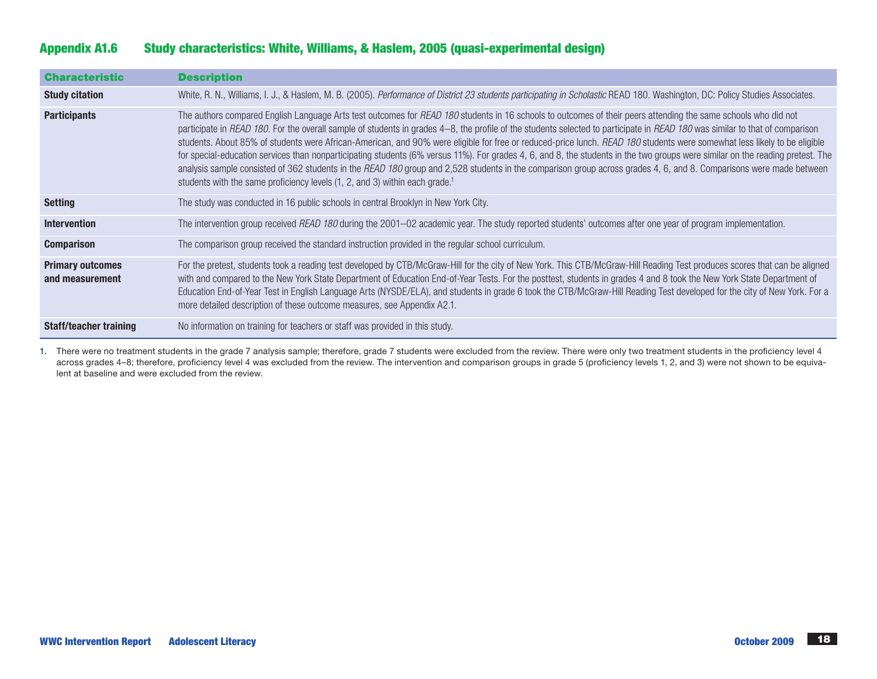# Appendix A1.6 Study characteristics: White, Williams, & Haslem, 2005 (quasi-experimental design)

| <b>Characteristic</b>                      | <b>Description</b>                                                                                                                                                                                                                                                                                                                                                                                                                                                                                                                                                                                                                                                                                                                                                                                                                                                                                                                                                             |
|--------------------------------------------|--------------------------------------------------------------------------------------------------------------------------------------------------------------------------------------------------------------------------------------------------------------------------------------------------------------------------------------------------------------------------------------------------------------------------------------------------------------------------------------------------------------------------------------------------------------------------------------------------------------------------------------------------------------------------------------------------------------------------------------------------------------------------------------------------------------------------------------------------------------------------------------------------------------------------------------------------------------------------------|
| <b>Study citation</b>                      | White, R. N., Williams, I. J., & Haslem, M. B. (2005). Performance of District 23 students participating in Scholastic READ 180. Washington, DC: Policy Studies Associates.                                                                                                                                                                                                                                                                                                                                                                                                                                                                                                                                                                                                                                                                                                                                                                                                    |
| <b>Participants</b>                        | The authors compared English Language Arts test outcomes for READ 180 students in 16 schools to outcomes of their peers attending the same schools who did not<br>participate in READ 180. For the overall sample of students in grades 4-8, the profile of the students selected to participate in READ 180 was similar to that of comparison<br>students. About 85% of students were African-American, and 90% were eligible for free or reduced-price lunch. READ 180 students were somewhat less likely to be eligible<br>for special-education services than nonparticipating students (6% versus 11%). For grades 4, 6, and 8, the students in the two groups were similar on the reading pretest. The<br>analysis sample consisted of 362 students in the READ 180 group and 2,528 students in the comparison group across grades 4, 6, and 8. Comparisons were made between<br>students with the same proficiency levels (1, 2, and 3) within each grade. <sup>1</sup> |
| <b>Setting</b>                             | The study was conducted in 16 public schools in central Brooklyn in New York City.                                                                                                                                                                                                                                                                                                                                                                                                                                                                                                                                                                                                                                                                                                                                                                                                                                                                                             |
| <b>Intervention</b>                        | The intervention group received READ 180 during the 2001-02 academic year. The study reported students' outcomes after one year of program implementation.                                                                                                                                                                                                                                                                                                                                                                                                                                                                                                                                                                                                                                                                                                                                                                                                                     |
| <b>Comparison</b>                          | The comparison group received the standard instruction provided in the regular school curriculum.                                                                                                                                                                                                                                                                                                                                                                                                                                                                                                                                                                                                                                                                                                                                                                                                                                                                              |
| <b>Primary outcomes</b><br>and measurement | For the pretest, students took a reading test developed by CTB/McGraw-Hill for the city of New York. This CTB/McGraw-Hill Reading Test produces scores that can be aligned<br>with and compared to the New York State Department of Education End-of-Year Tests. For the posttest, students in grades 4 and 8 took the New York State Department of<br>Education End-of-Year Test in English Language Arts (NYSDE/ELA), and students in grade 6 took the CTB/McGraw-Hill Reading Test developed for the city of New York. For a<br>more detailed description of these outcome measures, see Appendix A2.1.                                                                                                                                                                                                                                                                                                                                                                     |
| <b>Staff/teacher training</b>              | No information on training for teachers or staff was provided in this study.                                                                                                                                                                                                                                                                                                                                                                                                                                                                                                                                                                                                                                                                                                                                                                                                                                                                                                   |

1. There were no treatment students in the grade 7 analysis sample; therefore, grade 7 students were excluded from the review. There were only two treatment students in the proficiency level 4 across grades 4–8; therefore, proficiency level 4 was excluded from the review. The intervention and comparison groups in grade 5 (proficiency levels 1, 2, and 3) were not shown to be equivalent at baseline and were excluded from the review.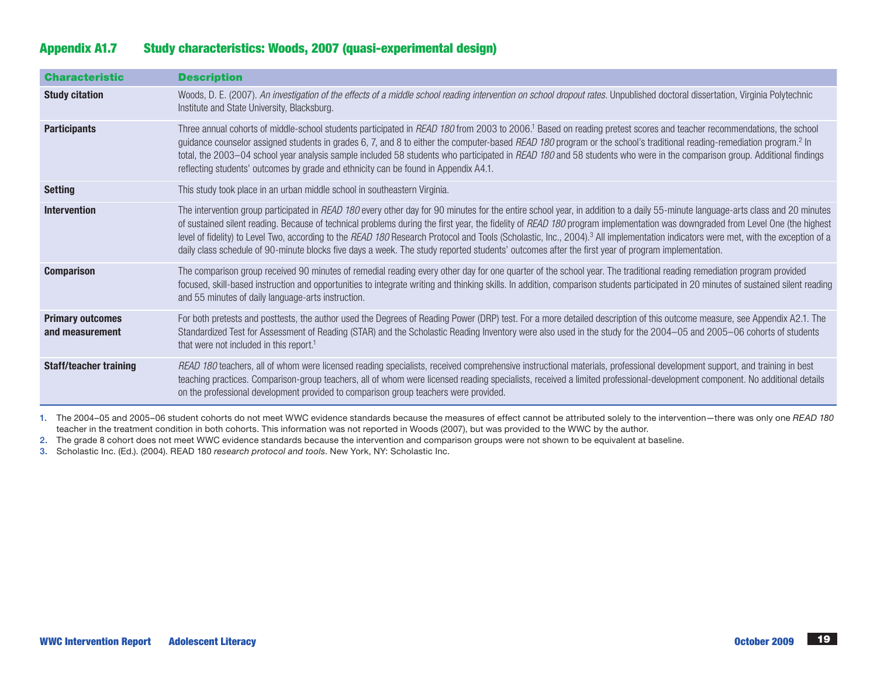# Appendix A1.7 Study characteristics: Woods, 2007 (quasi-experimental design)

| <b>Characteristic</b>                      | <b>Description</b>                                                                                                                                                                                                                                                                                                                                                                                                                                                                                                                                                                                                                                                                                                  |
|--------------------------------------------|---------------------------------------------------------------------------------------------------------------------------------------------------------------------------------------------------------------------------------------------------------------------------------------------------------------------------------------------------------------------------------------------------------------------------------------------------------------------------------------------------------------------------------------------------------------------------------------------------------------------------------------------------------------------------------------------------------------------|
| <b>Study citation</b>                      | Woods, D. E. (2007). An investigation of the effects of a middle school reading intervention on school dropout rates. Unpublished doctoral dissertation, Virginia Polytechnic<br>Institute and State University, Blacksburg.                                                                                                                                                                                                                                                                                                                                                                                                                                                                                        |
| <b>Participants</b>                        | Three annual cohorts of middle-school students participated in READ 180 from 2003 to 2006. <sup>1</sup> Based on reading pretest scores and teacher recommendations, the school<br>guidance counselor assigned students in grades 6, 7, and 8 to either the computer-based READ 180 program or the school's traditional reading-remediation program. <sup>2</sup> In<br>total, the 2003-04 school year analysis sample included 58 students who participated in READ 180 and 58 students who were in the comparison group. Additional findings<br>reflecting students' outcomes by grade and ethnicity can be found in Appendix A4.1.                                                                               |
| <b>Setting</b>                             | This study took place in an urban middle school in southeastern Virginia.                                                                                                                                                                                                                                                                                                                                                                                                                                                                                                                                                                                                                                           |
| <b>Intervention</b>                        | The intervention group participated in READ 180 every other day for 90 minutes for the entire school year, in addition to a daily 55-minute language-arts class and 20 minutes<br>of sustained silent reading. Because of technical problems during the first year, the fidelity of READ 180 program implementation was downgraded from Level One (the highest<br>level of fidelity) to Level Two, according to the READ 180 Research Protocol and Tools (Scholastic, Inc., 2004). <sup>3</sup> All implementation indicators were met, with the exception of a<br>daily class schedule of 90-minute blocks five days a week. The study reported students' outcomes after the first year of program implementation. |
| <b>Comparison</b>                          | The comparison group received 90 minutes of remedial reading every other day for one quarter of the school year. The traditional reading remediation program provided<br>focused, skill-based instruction and opportunities to integrate writing and thinking skills. In addition, comparison students participated in 20 minutes of sustained silent reading<br>and 55 minutes of daily language-arts instruction.                                                                                                                                                                                                                                                                                                 |
| <b>Primary outcomes</b><br>and measurement | For both pretests and posttests, the author used the Degrees of Reading Power (DRP) test. For a more detailed description of this outcome measure, see Appendix A2.1. The<br>Standardized Test for Assessment of Reading (STAR) and the Scholastic Reading Inventory were also used in the study for the 2004–05 and 2005–06 cohorts of students<br>that were not included in this report. <sup>1</sup>                                                                                                                                                                                                                                                                                                             |
| <b>Staff/teacher training</b>              | READ 180 teachers, all of whom were licensed reading specialists, received comprehensive instructional materials, professional development support, and training in best<br>teaching practices. Comparison-group teachers, all of whom were licensed reading specialists, received a limited professional-development component. No additional details<br>on the professional development provided to comparison group teachers were provided.                                                                                                                                                                                                                                                                      |

1. The 2004–05 and 2005–06 student cohorts do not meet WWC evidence standards because the measures of effect cannot be attributed solely to the intervention—there was only one *READ 180* teacher in the treatment condition in both cohorts. This information was not reported in Woods (2007), but was provided to the WWC by the author.

2. The grade 8 cohort does not meet WWC evidence standards because the intervention and comparison groups were not shown to be equivalent at baseline.

3. Scholastic Inc. (Ed.). (2004). READ 180 *research protocol and tools*. New York, NY: Scholastic Inc.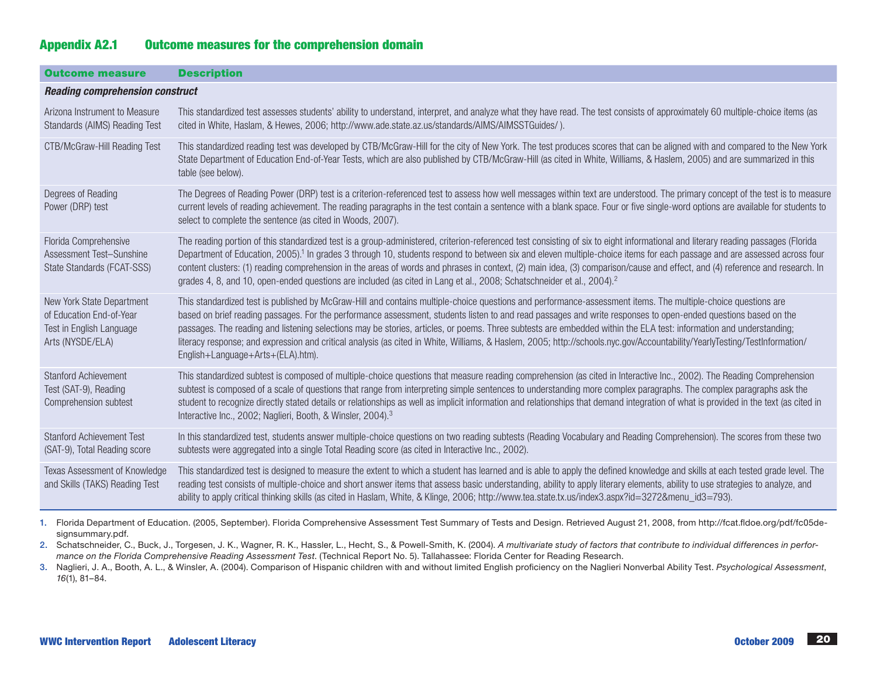# Appendix A2.1 Outcome measures for the comprehension domain

| <b>Outcome measure</b>                                                                                | <b>Description</b>                                                                                                                                                                                                                                                                                                                                                                                                                                                                                                                                                                                                                                                                                                       |  |  |  |  |  |  |
|-------------------------------------------------------------------------------------------------------|--------------------------------------------------------------------------------------------------------------------------------------------------------------------------------------------------------------------------------------------------------------------------------------------------------------------------------------------------------------------------------------------------------------------------------------------------------------------------------------------------------------------------------------------------------------------------------------------------------------------------------------------------------------------------------------------------------------------------|--|--|--|--|--|--|
| <b>Reading comprehension construct</b>                                                                |                                                                                                                                                                                                                                                                                                                                                                                                                                                                                                                                                                                                                                                                                                                          |  |  |  |  |  |  |
| Arizona Instrument to Measure<br>Standards (AIMS) Reading Test                                        | This standardized test assesses students' ability to understand, interpret, and analyze what they have read. The test consists of approximately 60 multiple-choice items (as<br>cited in White, Haslam, & Hewes, 2006; http://www.ade.state.az.us/standards/AIMS/AIMSSTGuides/).                                                                                                                                                                                                                                                                                                                                                                                                                                         |  |  |  |  |  |  |
| CTB/McGraw-Hill Reading Test                                                                          | This standardized reading test was developed by CTB/McGraw-Hill for the city of New York. The test produces scores that can be aligned with and compared to the New York<br>State Department of Education End-of-Year Tests, which are also published by CTB/McGraw-Hill (as cited in White, Williams, & Haslem, 2005) and are summarized in this<br>table (see below).                                                                                                                                                                                                                                                                                                                                                  |  |  |  |  |  |  |
| Degrees of Reading<br>Power (DRP) test                                                                | The Degrees of Reading Power (DRP) test is a criterion-referenced test to assess how well messages within text are understood. The primary concept of the test is to measure<br>current levels of reading achievement. The reading paragraphs in the test contain a sentence with a blank space. Four or five single-word options are available for students to<br>select to complete the sentence (as cited in Woods, 2007).                                                                                                                                                                                                                                                                                            |  |  |  |  |  |  |
| Florida Comprehensive<br>Assessment Test-Sunshine<br>State Standards (FCAT-SSS)                       | The reading portion of this standardized test is a group-administered, criterion-referenced test consisting of six to eight informational and literary reading passages (Florida<br>Department of Education, 2005). <sup>1</sup> In grades 3 through 10, students respond to between six and eleven multiple-choice items for each passage and are assessed across four<br>content clusters: (1) reading comprehension in the areas of words and phrases in context, (2) main idea, (3) comparison/cause and effect, and (4) reference and research. In<br>grades 4, 8, and 10, open-ended questions are included (as cited in Lang et al., 2008; Schatschneider et al., 2004). <sup>2</sup>                             |  |  |  |  |  |  |
| New York State Department<br>of Education End-of-Year<br>Test in English Language<br>Arts (NYSDE/ELA) | This standardized test is published by McGraw-Hill and contains multiple-choice questions and performance-assessment items. The multiple-choice questions are<br>based on brief reading passages. For the performance assessment, students listen to and read passages and write responses to open-ended questions based on the<br>passages. The reading and listening selections may be stories, articles, or poems. Three subtests are embedded within the ELA test: information and understanding;<br>literacy response; and expression and critical analysis (as cited in White, Williams, & Haslem, 2005; http://schools.nyc.gov/Accountability/YearlyTesting/TestInformation/<br>English+Language+Arts+(ELA).htm). |  |  |  |  |  |  |
| <b>Stanford Achievement</b><br>Test (SAT-9), Reading<br>Comprehension subtest                         | This standardized subtest is composed of multiple-choice questions that measure reading comprehension (as cited in Interactive Inc., 2002). The Reading Comprehension<br>subtest is composed of a scale of questions that range from interpreting simple sentences to understanding more complex paragraphs. The complex paragraphs ask the<br>student to recognize directly stated details or relationships as well as implicit information and relationships that demand integration of what is provided in the text (as cited in<br>Interactive Inc., 2002; Naglieri, Booth, & Winsler, 2004). <sup>3</sup>                                                                                                           |  |  |  |  |  |  |
| <b>Stanford Achievement Test</b><br>(SAT-9), Total Reading score                                      | In this standardized test, students answer multiple-choice questions on two reading subtests (Reading Vocabulary and Reading Comprehension). The scores from these two<br>subtests were aggregated into a single Total Reading score (as cited in Interactive Inc., 2002).                                                                                                                                                                                                                                                                                                                                                                                                                                               |  |  |  |  |  |  |
| Texas Assessment of Knowledge<br>and Skills (TAKS) Reading Test                                       | This standardized test is designed to measure the extent to which a student has learned and is able to apply the defined knowledge and skills at each tested grade level. The<br>reading test consists of multiple-choice and short answer items that assess basic understanding, ability to apply literary elements, ability to use strategies to analyze, and<br>ability to apply critical thinking skills (as cited in Haslam, White, & Klinge, 2006; http://www.tea.state.tx.us/index3.aspx?id=3272&menu_id3=793).                                                                                                                                                                                                   |  |  |  |  |  |  |

1. Florida Department of Education. (2005, September). Florida Comprehensive Assessment Test Summary of Tests and Design. Retrieved August 21, 2008, from http://fcat.fldoe.org/pdf/fc05designsummary.pdf.

2. Schatschneider, C., Buck, J., Torgesen, J. K., Wagner, R. K., Hassler, L., Hecht, S., & Powell-Smith, K. (2004). *A multivariate study of factors that contribute to individual differences in performance on the Florida Comprehensive Reading Assessment Test*. (Technical Report No. 5). Tallahassee: Florida Center for Reading Research.

3. Naglieri, J. A., Booth, A. L., & Winsler, A. (2004). Comparison of Hispanic children with and without limited English proficiency on the Naglieri Nonverbal Ability Test. *Psychological Assessment*, *16*(1), 81–84.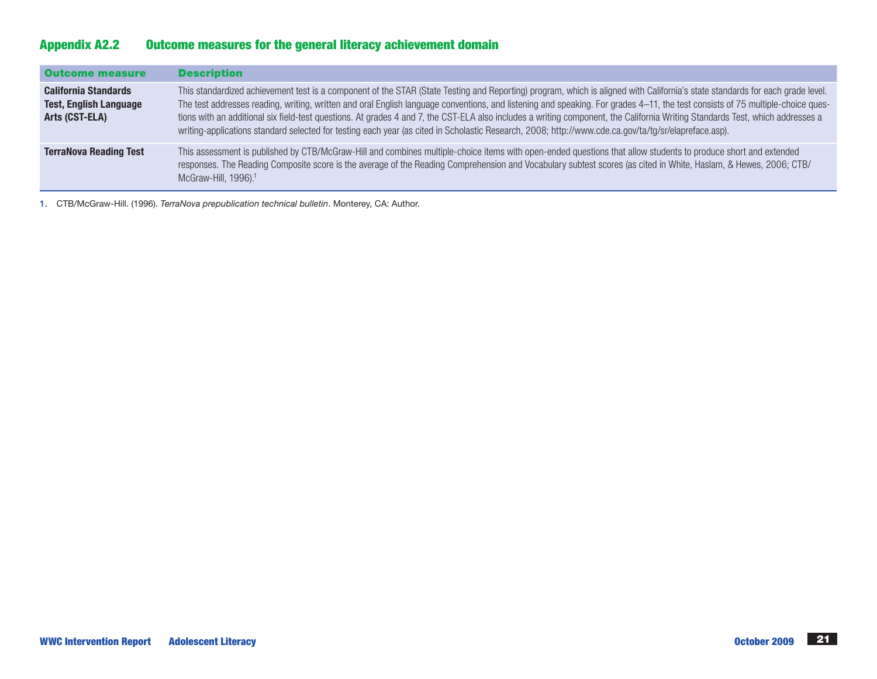# Appendix A2.2 Outcome measures for the general literacy achievement domain

| <b>Outcome measure</b>                                                         | <b>Description</b>                                                                                                                                                                                                                                                                                                                                                                                                                                                                                                                                                                                                                                                                                       |
|--------------------------------------------------------------------------------|----------------------------------------------------------------------------------------------------------------------------------------------------------------------------------------------------------------------------------------------------------------------------------------------------------------------------------------------------------------------------------------------------------------------------------------------------------------------------------------------------------------------------------------------------------------------------------------------------------------------------------------------------------------------------------------------------------|
| <b>California Standards</b><br><b>Test, English Language</b><br>Arts (CST-ELA) | This standardized achievement test is a component of the STAR (State Testing and Reporting) program, which is aligned with California's state standards for each grade level.<br>The test addresses reading, writing, written and oral English language conventions, and listening and speaking. For grades 4-11, the test consists of 75 multiple-choice ques-<br>tions with an additional six field-test questions. At grades 4 and 7, the CST-ELA also includes a writing component, the California Writing Standards Test, which addresses a<br>writing-applications standard selected for testing each year (as cited in Scholastic Research, 2008; http://www.cde.ca.gov/ta/tg/sr/elapreface.asp). |
| <b>TerraNova Reading Test</b>                                                  | This assessment is published by CTB/McGraw-Hill and combines multiple-choice items with open-ended questions that allow students to produce short and extended<br>responses. The Reading Composite score is the average of the Reading Comprehension and Vocabulary subtest scores (as cited in White, Haslam, & Hewes, 2006; CTB/<br>McGraw-Hill, 1996). <sup>1</sup>                                                                                                                                                                                                                                                                                                                                   |

1. CTB/McGraw-Hill. (1996). *TerraNova prepublication technical bulletin*. Monterey, CA: Author.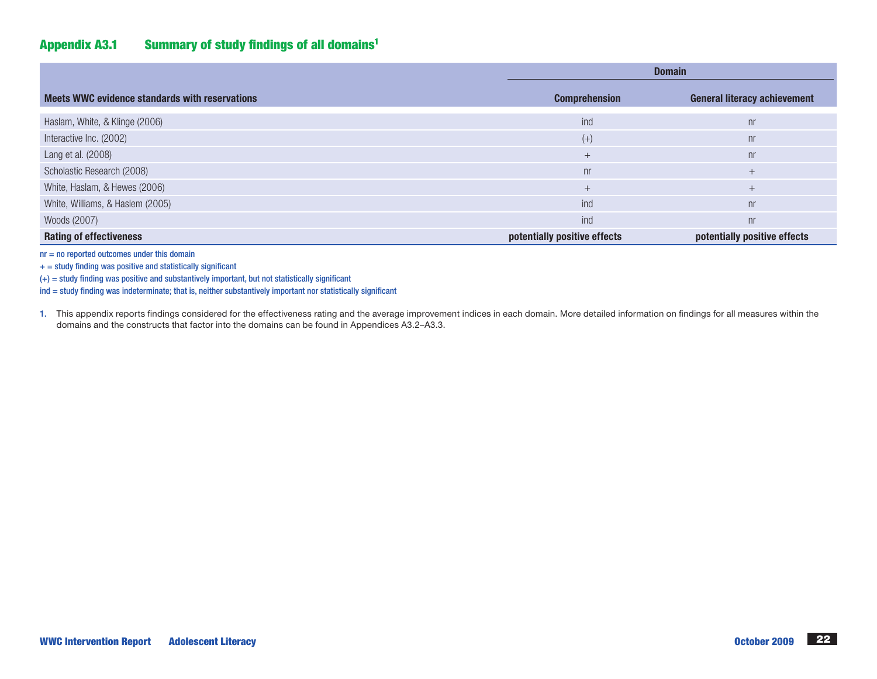# Appendix A3.1 Summary of study findings of all domains1

|                                                | <b>Domain</b>                |                                     |  |
|------------------------------------------------|------------------------------|-------------------------------------|--|
| Meets WWC evidence standards with reservations | <b>Comprehension</b>         | <b>General literacy achievement</b> |  |
| Haslam, White, & Klinge (2006)                 | ind                          | n <sub>r</sub>                      |  |
| Interactive Inc. (2002)                        | $(+)$                        | n <sub>r</sub>                      |  |
| Lang et al. (2008)                             | $+$                          | n <sub>r</sub>                      |  |
| Scholastic Research (2008)                     | n <sub>r</sub>               | $^{+}$                              |  |
| White, Haslam, & Hewes (2006)                  | $+$                          | $^{+}$                              |  |
| White, Williams, & Haslem (2005)               | ind                          | n <sub>r</sub>                      |  |
| Woods (2007)                                   | ind                          | n <sub>r</sub>                      |  |
| <b>Rating of effectiveness</b>                 | potentially positive effects | potentially positive effects        |  |

 $nr = no$  reported outcomes under this domain

 $+$  = study finding was positive and statistically significant

(+) = study finding was positive and substantively important, but not statistically significant

ind = study finding was indeterminate; that is, neither substantively important nor statistically significant

1. This appendix reports findings considered for the effectiveness rating and the average improvement indices in each domain. More detailed information on findings for all measures within the domains and the constructs that factor into the domains can be found in Appendices A3.2–A3.3.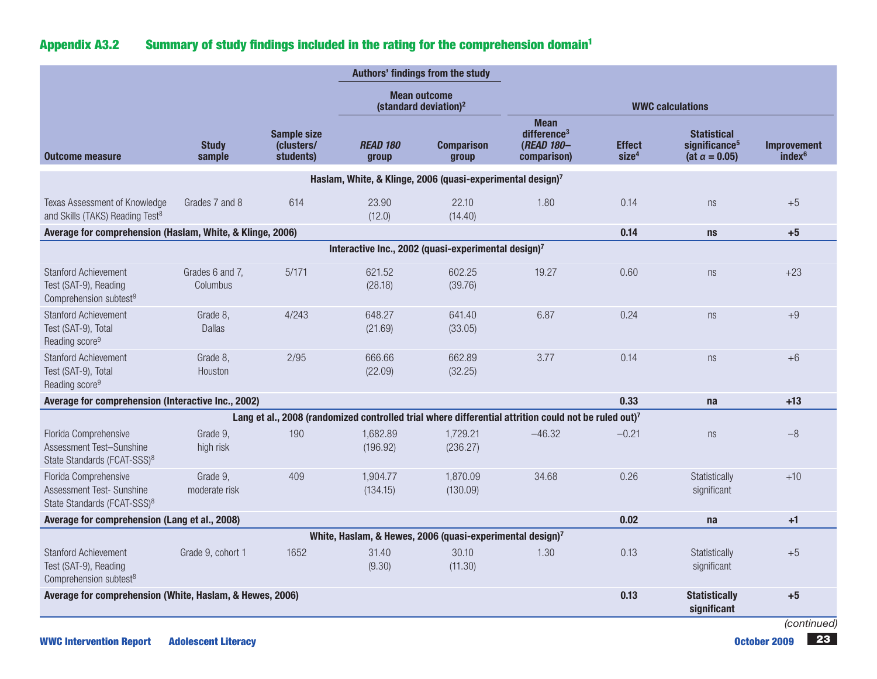# Appendix A3.2 Summary of study findings included in the rating for the comprehension domain<sup>1</sup>

|                                                                                               |                             |                                               |                          | Authors' findings from the study                                      |                                                                                                      |                                     |                                                                          |                                          |
|-----------------------------------------------------------------------------------------------|-----------------------------|-----------------------------------------------|--------------------------|-----------------------------------------------------------------------|------------------------------------------------------------------------------------------------------|-------------------------------------|--------------------------------------------------------------------------|------------------------------------------|
|                                                                                               |                             |                                               |                          | <b>Mean outcome</b><br>(standard deviation) <sup>2</sup>              |                                                                                                      |                                     | <b>WWC calculations</b>                                                  |                                          |
| <b>Outcome measure</b>                                                                        | <b>Study</b><br>sample      | <b>Sample size</b><br>(clusters/<br>students) | <b>READ 180</b><br>group | <b>Comparison</b><br>group                                            | <b>Mean</b><br>difference <sup>3</sup><br>(READ 180-<br>comparison)                                  | <b>Effect</b><br>size <sup>4</sup>  | <b>Statistical</b><br>significance <sup>5</sup><br>(at $\alpha = 0.05$ ) | <b>Improvement</b><br>index <sup>6</sup> |
|                                                                                               |                             |                                               |                          | Haslam, White, & Klinge, 2006 (quasi-experimental design)7            |                                                                                                      |                                     |                                                                          |                                          |
| Texas Assessment of Knowledge<br>and Skills (TAKS) Reading Test <sup>8</sup>                  | Grades 7 and 8              | 614                                           | 23.90<br>(12.0)          | 22.10<br>(14.40)                                                      | 1.80                                                                                                 | 0.14                                | ns                                                                       | $+5$                                     |
| Average for comprehension (Haslam, White, & Klinge, 2006)                                     |                             |                                               |                          |                                                                       |                                                                                                      | 0.14                                | <b>ns</b>                                                                | $+5$                                     |
|                                                                                               |                             |                                               |                          | Interactive Inc., 2002 (quasi-experimental design)7                   |                                                                                                      |                                     |                                                                          |                                          |
| <b>Stanford Achievement</b><br>Test (SAT-9), Reading<br>Comprehension subtest <sup>9</sup>    | Grades 6 and 7,<br>Columbus | 5/171                                         | 621.52<br>(28.18)        | 602.25<br>(39.76)                                                     | 19.27                                                                                                | 0.60                                | ns                                                                       | $+23$                                    |
| <b>Stanford Achievement</b><br>Test (SAT-9), Total<br>Reading score <sup>9</sup>              | Grade 8,<br><b>Dallas</b>   | 4/243                                         | 648.27<br>(21.69)        | 641.40<br>(33.05)                                                     | 6.87                                                                                                 | 0.24                                | ns                                                                       | $+9$                                     |
| <b>Stanford Achievement</b><br>Test (SAT-9), Total<br>Reading score <sup>9</sup>              | Grade 8,<br>Houston         | 2/95                                          | 666.66<br>(22.09)        | 662.89<br>(32.25)                                                     | 3.77                                                                                                 | 0.14                                | ns                                                                       | $+6$                                     |
| Average for comprehension (Interactive Inc., 2002)                                            |                             |                                               |                          |                                                                       |                                                                                                      | 0.33                                | na                                                                       | $+13$                                    |
|                                                                                               |                             |                                               |                          |                                                                       | Lang et al., 2008 (randomized controlled trial where differential attrition could not be ruled out)7 |                                     |                                                                          |                                          |
| Florida Comprehensive<br>Assessment Test-Sunshine<br>State Standards (FCAT-SSS) <sup>8</sup>  | Grade 9,<br>high risk       | 190                                           | 1,682.89<br>(196.92)     | 1,729.21<br>(236.27)                                                  | $-46.32$                                                                                             | $-0.21$                             | ns                                                                       | $-8$                                     |
| Florida Comprehensive<br>Assessment Test- Sunshine<br>State Standards (FCAT-SSS) <sup>8</sup> | Grade 9,<br>moderate risk   | 409                                           | 1,904.77<br>(134.15)     | 1,870.09<br>(130.09)                                                  | 34.68                                                                                                | 0.26                                | Statistically<br>significant                                             | $+10$                                    |
| Average for comprehension (Lang et al., 2008)                                                 |                             |                                               |                          |                                                                       |                                                                                                      | 0.02                                | na                                                                       | $+1$                                     |
|                                                                                               |                             |                                               |                          | White, Haslam, & Hewes, 2006 (quasi-experimental design) <sup>7</sup> |                                                                                                      |                                     |                                                                          |                                          |
| <b>Stanford Achievement</b><br>Test (SAT-9), Reading<br>Comprehension subtest <sup>8</sup>    | Grade 9, cohort 1           | 1652                                          | 31.40<br>(9.30)          | 30.10<br>(11.30)                                                      | 1.30                                                                                                 | 0.13                                | Statistically<br>significant                                             | $+5$                                     |
| Average for comprehension (White, Haslam, & Hewes, 2006)                                      |                             |                                               |                          |                                                                       | 0.13                                                                                                 | <b>Statistically</b><br>significant | $+5$                                                                     |                                          |
|                                                                                               |                             |                                               |                          |                                                                       |                                                                                                      |                                     |                                                                          | (continued)                              |

WWC Intervention Report Adolescent Literacy **23** and 23 and 23 and 23 and 23 and 23 and 23 and 23 and 23 and 23 and 23 and 23 and 23 and 23 and 23 and 23 and 23 and 23 and 23 and 23 and 23 and 23 and 23 and 23 and 23 and 2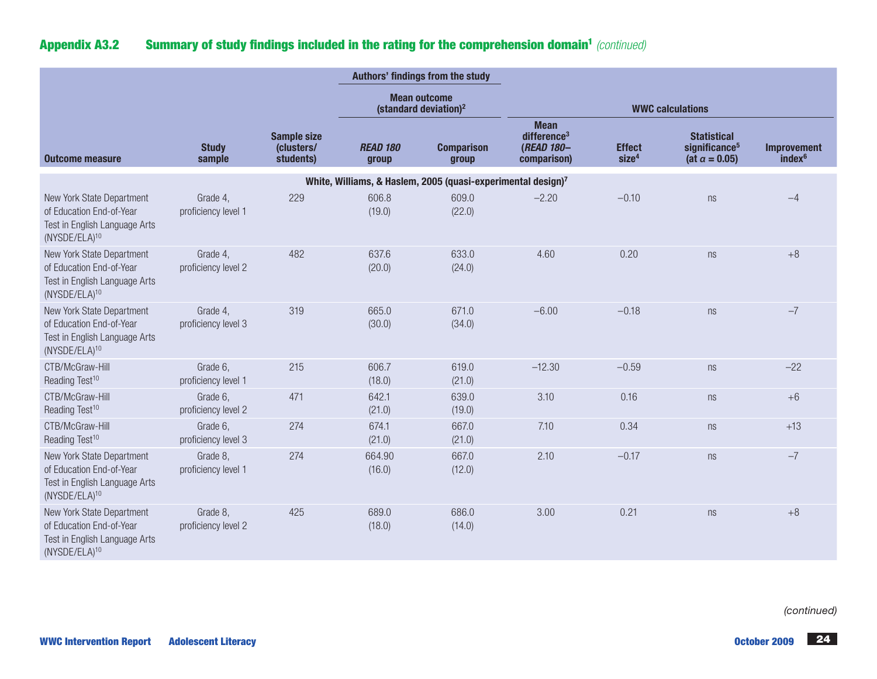# Appendix A3.2 Summary of study findings included in the rating for the comprehension domain<sup>1</sup> (continued)

|                                                                                                                     |                                 |                                               |                                                          | Authors' findings from the study                                         |                                                                   |                                    |                                                                          |                                          |
|---------------------------------------------------------------------------------------------------------------------|---------------------------------|-----------------------------------------------|----------------------------------------------------------|--------------------------------------------------------------------------|-------------------------------------------------------------------|------------------------------------|--------------------------------------------------------------------------|------------------------------------------|
|                                                                                                                     |                                 |                                               | <b>Mean outcome</b><br>(standard deviation) <sup>2</sup> |                                                                          | <b>WWC calculations</b>                                           |                                    |                                                                          |                                          |
| <b>Outcome measure</b>                                                                                              | <b>Study</b><br>sample          | <b>Sample size</b><br>(clusters/<br>students) | <b>READ 180</b><br>group                                 | <b>Comparison</b><br>group                                               | <b>Mean</b><br>difference $3$<br><b>(READ 180-</b><br>comparison) | <b>Effect</b><br>size <sup>4</sup> | <b>Statistical</b><br>significance <sup>5</sup><br>(at $\alpha = 0.05$ ) | <b>Improvement</b><br>index <sup>6</sup> |
|                                                                                                                     |                                 |                                               |                                                          | White, Williams, & Haslem, 2005 (quasi-experimental design) <sup>7</sup> |                                                                   |                                    |                                                                          |                                          |
| New York State Department<br>of Education End-of-Year<br>Test in English Language Arts<br>(NYSDE/ELA) <sup>10</sup> | Grade 4,<br>proficiency level 1 | 229                                           | 606.8<br>(19.0)                                          | 609.0<br>(22.0)                                                          | $-2.20$                                                           | $-0.10$                            | ns                                                                       | $-4$                                     |
| New York State Department<br>of Education End-of-Year<br>Test in English Language Arts<br>(NYSDE/ELA) <sup>10</sup> | Grade 4,<br>proficiency level 2 | 482                                           | 637.6<br>(20.0)                                          | 633.0<br>(24.0)                                                          | 4.60                                                              | 0.20                               | ns                                                                       | $+8$                                     |
| New York State Department<br>of Education End-of-Year<br>Test in English Language Arts<br>(NYSDE/ELA) <sup>10</sup> | Grade 4,<br>proficiency level 3 | 319                                           | 665.0<br>(30.0)                                          | 671.0<br>(34.0)                                                          | $-6.00$                                                           | $-0.18$                            | ns                                                                       | $-7$                                     |
| CTB/McGraw-Hill<br>Reading Test <sup>10</sup>                                                                       | Grade 6,<br>proficiency level 1 | 215                                           | 606.7<br>(18.0)                                          | 619.0<br>(21.0)                                                          | $-12.30$                                                          | $-0.59$                            | ns                                                                       | $-22$                                    |
| CTB/McGraw-Hill<br>Reading Test <sup>10</sup>                                                                       | Grade 6,<br>proficiency level 2 | 471                                           | 642.1<br>(21.0)                                          | 639.0<br>(19.0)                                                          | 3.10                                                              | 0.16                               | ns                                                                       | $+6$                                     |
| CTB/McGraw-Hill<br>Reading Test <sup>10</sup>                                                                       | Grade 6,<br>proficiency level 3 | 274                                           | 674.1<br>(21.0)                                          | 667.0<br>(21.0)                                                          | 7.10                                                              | 0.34                               | ns                                                                       | $+13$                                    |
| New York State Department<br>of Education End-of-Year<br>Test in English Language Arts<br>(NYSDE/ELA) <sup>10</sup> | Grade 8,<br>proficiency level 1 | 274                                           | 664.90<br>(16.0)                                         | 667.0<br>(12.0)                                                          | 2.10                                                              | $-0.17$                            | ns                                                                       | $-7$                                     |
| New York State Department<br>of Education End-of-Year<br>Test in English Language Arts<br>(NYSDE/ELA) <sup>10</sup> | Grade 8,<br>proficiency level 2 | 425                                           | 689.0<br>(18.0)                                          | 686.0<br>(14.0)                                                          | 3.00                                                              | 0.21                               | ns                                                                       | $+8$                                     |

*(continued)*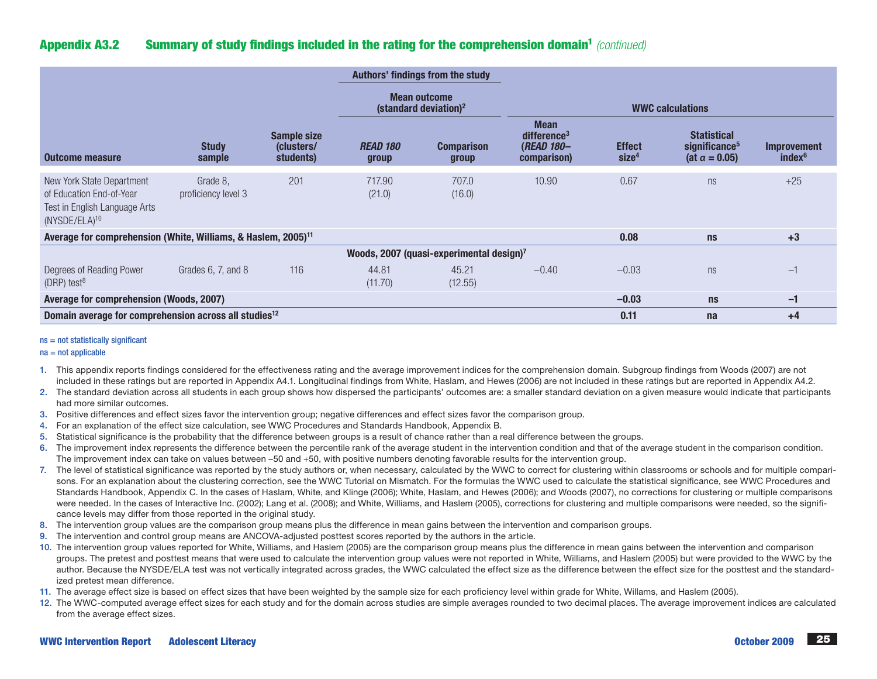# Appendix A3.2 Summary of study findings included in the rating for the comprehension domain1 *(continued)*

|                                                                                                              |                                 |                                               |                                                 | Authors' findings from the study                     |                                                                            |                                    |                                                                          |                                          |
|--------------------------------------------------------------------------------------------------------------|---------------------------------|-----------------------------------------------|-------------------------------------------------|------------------------------------------------------|----------------------------------------------------------------------------|------------------------------------|--------------------------------------------------------------------------|------------------------------------------|
|                                                                                                              |                                 |                                               | <b>Mean outcome</b><br>(standard deviation) $2$ |                                                      | <b>WWC calculations</b>                                                    |                                    |                                                                          |                                          |
| <b>Outcome measure</b>                                                                                       | <b>Study</b><br>sample          | <b>Sample size</b><br>(clusters/<br>students) | <b>READ 180</b><br>group                        | <b>Comparison</b><br>group                           | <b>Mean</b><br>difference <sup>3</sup><br><b>(READ 180-</b><br>comparison) | <b>Effect</b><br>size <sup>4</sup> | <b>Statistical</b><br>significance <sup>5</sup><br>(at $\alpha = 0.05$ ) | <b>Improvement</b><br>index <sup>6</sup> |
| New York State Department<br>of Education End-of-Year<br>Test in English Language Arts<br>$(NYSDE/ELA)^{10}$ | Grade 8,<br>proficiency level 3 | 201                                           | 717.90<br>(21.0)                                | 707.0<br>(16.0)                                      | 10.90                                                                      | 0.67                               | ns                                                                       | $+25$                                    |
| Average for comprehension (White, Williams, & Haslem, 2005) <sup>11</sup>                                    |                                 |                                               |                                                 |                                                      |                                                                            | 0.08                               | ns                                                                       | $+3$                                     |
|                                                                                                              |                                 |                                               |                                                 | Woods, 2007 (quasi-experimental design) <sup>7</sup> |                                                                            |                                    |                                                                          |                                          |
| Degrees of Reading Power<br>(DRP) test $8$                                                                   | Grades 6, 7, and 8              | 116                                           | 44.81<br>(11.70)                                | 45.21<br>(12.55)                                     | $-0.40$                                                                    | $-0.03$                            | ns                                                                       | $-1$                                     |
| Average for comprehension (Woods, 2007)                                                                      |                                 |                                               |                                                 |                                                      |                                                                            | $-0.03$                            | ns                                                                       | $-1$                                     |
| Domain average for comprehension across all studies <sup>12</sup>                                            |                                 |                                               |                                                 |                                                      |                                                                            | 0.11                               | na                                                                       | $+4$                                     |

#### ns = not statistically significant

#### $na = not applicable$

- 1. This appendix reports findings considered for the effectiveness rating and the average improvement indices for the comprehension domain. Subgroup findings from Woods (2007) are not included in these ratings but are reported in Appendix A4.1. Longitudinal findings from White, Haslam, and Hewes (2006) are not included in these ratings but are reported in Appendix A4.2.
- 2. The standard deviation across all students in each group shows how dispersed the participants' outcomes are: a smaller standard deviation on a given measure would indicate that participants had more similar outcomes.
- 3. Positive differences and effect sizes favor the intervention group; negative differences and effect sizes favor the comparison group.
- 4. For an explanation of the effect size calculation, see WWC Procedures and Standards Handbook, Appendix B.
- 5. Statistical significance is the probability that the difference between groups is a result of chance rather than a real difference between the groups.
- 6. The improvement index represents the difference between the percentile rank of the average student in the intervention condition and that of the average student in the comparison condition. The improvement index can take on values between –50 and +50, with positive numbers denoting favorable results for the intervention group.
- 7. The level of statistical significance was reported by the study authors or, when necessary, calculated by the WWC to correct for clustering within classrooms or schools and for multiple comparisons. For an explanation about the clustering correction, see the WWC Tutorial on Mismatch. For the formulas the WWC used to calculate the statistical significance, see WWC Procedures and Standards Handbook, Appendix C. In the cases of Haslam, White, and Klinge (2006); White, Haslam, and Hewes (2006); and Woods (2007), no corrections for clustering or multiple comparisons were needed. In the cases of Interactive Inc. (2002); Lang et al. (2008); and White, Williams, and Haslem (2005), corrections for clustering and multiple comparisons were needed, so the significance levels may differ from those reported in the original study.
- 8. The intervention group values are the comparison group means plus the difference in mean gains between the intervention and comparison groups.
- 9. The intervention and control group means are ANCOVA-adjusted posttest scores reported by the authors in the article.
- 10. The intervention group values reported for White, Williams, and Haslem (2005) are the comparison group means plus the difference in mean gains between the intervention and comparison groups. The pretest and posttest means that were used to calculate the intervention group values were not reported in White, Williams, and Haslem (2005) but were provided to the WWC by the author. Because the NYSDE/ELA test was not vertically integrated across grades, the WWC calculated the effect size as the difference between the effect size for the posttest and the standardized pretest mean difference.
- 11. The average effect size is based on effect sizes that have been weighted by the sample size for each proficiency level within grade for White, Willams, and Haslem (2005).
- 12. The WWC-computed average effect sizes for each study and for the domain across studies are simple averages rounded to two decimal places. The average improvement indices are calculated from the average effect sizes.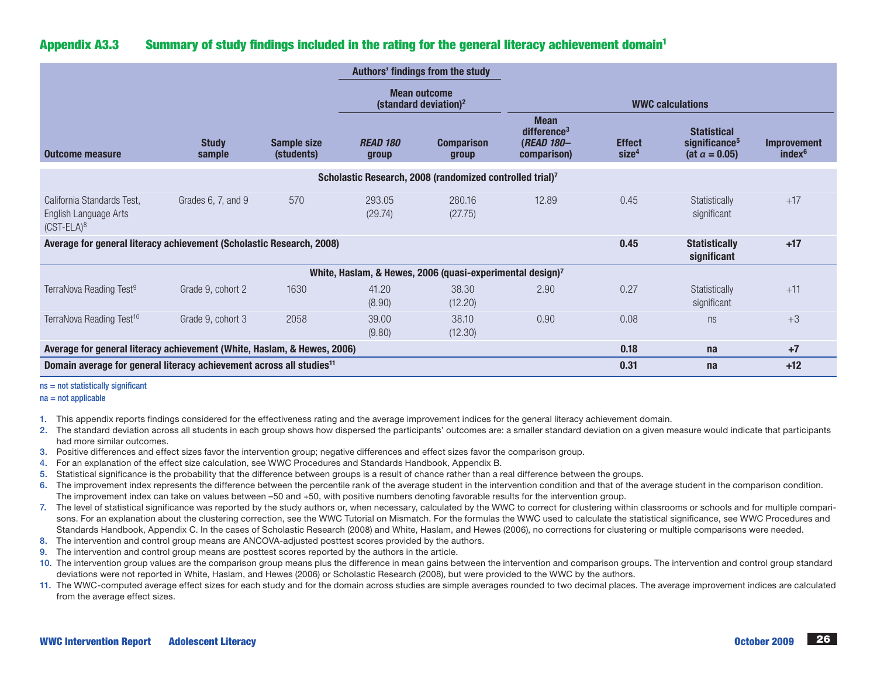# Appendix A3.3 Summary of study findings included in the rating for the general literacy achievement domain1

|                                                                                  |                        |                                  |                                                                       | Authors' findings from the study |                                                                            |                                    |                                                                          |                                          |
|----------------------------------------------------------------------------------|------------------------|----------------------------------|-----------------------------------------------------------------------|----------------------------------|----------------------------------------------------------------------------|------------------------------------|--------------------------------------------------------------------------|------------------------------------------|
|                                                                                  |                        |                                  | <b>Mean outcome</b><br>(standard deviation) <sup>2</sup>              |                                  | <b>WWC calculations</b>                                                    |                                    |                                                                          |                                          |
| <b>Outcome measure</b>                                                           | <b>Study</b><br>sample | <b>Sample size</b><br>(students) | <b>READ 180</b><br>group                                              | <b>Comparison</b><br>group       | <b>Mean</b><br>difference <sup>3</sup><br><b>(READ 180-</b><br>comparison) | <b>Effect</b><br>size <sup>4</sup> | <b>Statistical</b><br>significance <sup>5</sup><br>(at $\alpha = 0.05$ ) | <b>Improvement</b><br>index <sup>6</sup> |
|                                                                                  |                        |                                  | Scholastic Research, 2008 (randomized controlled trial)7              |                                  |                                                                            |                                    |                                                                          |                                          |
| California Standards Test,<br>English Language Arts<br>$(CST-ELA)^8$             | Grades 6, 7, and 9     | 570                              | 293.05<br>(29.74)                                                     | 280.16<br>(27.75)                | 12.89                                                                      | 0.45                               | Statistically<br>significant                                             | $+17$                                    |
| Average for general literacy achievement (Scholastic Research, 2008)             |                        |                                  |                                                                       |                                  |                                                                            | 0.45                               | <b>Statistically</b><br>significant                                      | $+17$                                    |
|                                                                                  |                        |                                  | White, Haslam, & Hewes, 2006 (quasi-experimental design) <sup>7</sup> |                                  |                                                                            |                                    |                                                                          |                                          |
| TerraNova Reading Test <sup>9</sup>                                              | Grade 9, cohort 2      | 1630                             | 41.20<br>(8.90)                                                       | 38.30<br>(12.20)                 | 2.90                                                                       | 0.27                               | Statistically<br>significant                                             | $+11$                                    |
| TerraNova Reading Test <sup>10</sup>                                             | Grade 9, cohort 3      | 2058                             | 39.00<br>(9.80)                                                       | 38.10<br>(12.30)                 | 0.90                                                                       | 0.08                               | ns                                                                       | $+3$                                     |
| Average for general literacy achievement (White, Haslam, & Hewes, 2006)          |                        |                                  |                                                                       |                                  |                                                                            | 0.18                               | na                                                                       | $+7$                                     |
| Domain average for general literacy achievement across all studies <sup>11</sup> |                        |                                  |                                                                       |                                  |                                                                            | 0.31                               | na                                                                       | $+12$                                    |

#### ns = not statistically significant

 $na = not a  
nolicable$ 

- 1. This appendix reports findings considered for the effectiveness rating and the average improvement indices for the general literacy achievement domain.
- 2. The standard deviation across all students in each group shows how dispersed the participants' outcomes are: a smaller standard deviation on a given measure would indicate that participants had more similar outcomes.
- 3. Positive differences and effect sizes favor the intervention group; negative differences and effect sizes favor the comparison group.
- 4. For an explanation of the effect size calculation, see WWC Procedures and Standards Handbook, Appendix B.
- 5. Statistical significance is the probability that the difference between groups is a result of chance rather than a real difference between the groups.
- 6. The improvement index represents the difference between the percentile rank of the average student in the intervention condition and that of the average student in the comparison condition. The improvement index can take on values between –50 and +50, with positive numbers denoting favorable results for the intervention group.
- 7. The level of statistical significance was reported by the study authors or, when necessary, calculated by the WWC to correct for clustering within classrooms or schools and for multiple comparisons. For an explanation about the clustering correction, see the WWC Tutorial on Mismatch. For the formulas the WWC used to calculate the statistical significance, see WWC Procedures and Standards Handbook, Appendix C. In the cases of Scholastic Research (2008) and White, Haslam, and Hewes (2006), no corrections for clustering or multiple comparisons were needed.
- 8. The intervention and control group means are ANCOVA-adjusted posttest scores provided by the authors.
- 9. The intervention and control group means are posttest scores reported by the authors in the article.
- 10. The intervention group values are the comparison group means plus the difference in mean gains between the intervention and comparison groups. The intervention and control group standard deviations were not reported in White, Haslam, and Hewes (2006) or Scholastic Research (2008), but were provided to the WWC by the authors.
- 11. The WWC-computed average effect sizes for each study and for the domain across studies are simple averages rounded to two decimal places. The average improvement indices are calculated from the average effect sizes.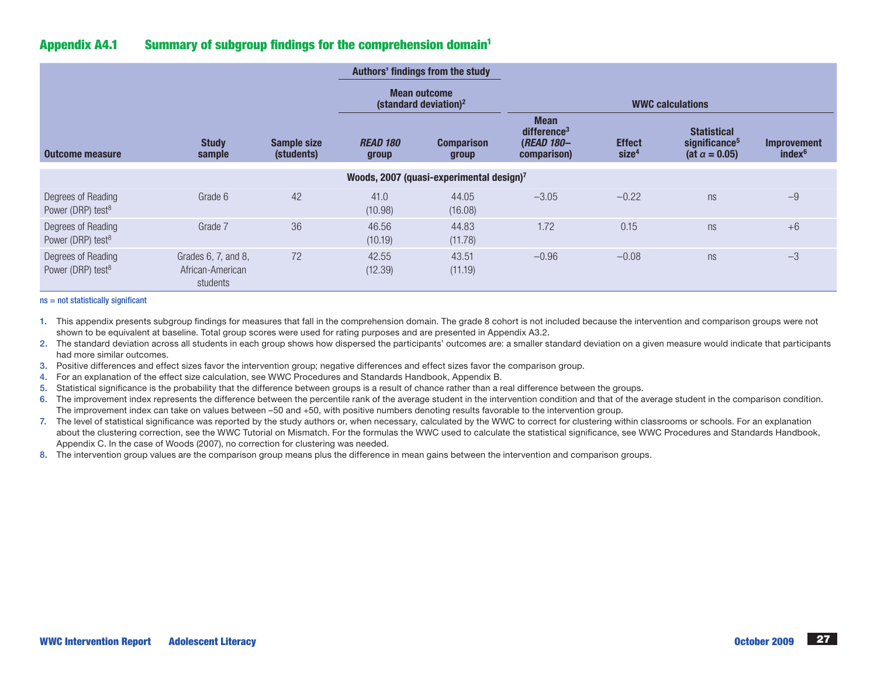# Appendix A4.1 Summary of subgroup findings for the comprehension domain1

|                                                      |                                                     |                                  |                                                 | Authors' findings from the study |                                                                            |                                    |                                                                          |                                          |  |
|------------------------------------------------------|-----------------------------------------------------|----------------------------------|-------------------------------------------------|----------------------------------|----------------------------------------------------------------------------|------------------------------------|--------------------------------------------------------------------------|------------------------------------------|--|
|                                                      |                                                     |                                  | <b>Mean outcome</b><br>(standard deviation) $2$ |                                  | <b>WWC calculations</b>                                                    |                                    |                                                                          |                                          |  |
| Outcome measure                                      | <b>Study</b><br>sample                              | <b>Sample size</b><br>(students) | <b>READ 180</b><br>group                        | <b>Comparison</b><br>group       | <b>Mean</b><br>difference <sup>3</sup><br><b>(READ 180-</b><br>comparison) | <b>Effect</b><br>size <sup>4</sup> | <b>Statistical</b><br>significance <sup>5</sup><br>(at $\alpha = 0.05$ ) | <b>Improvement</b><br>index <sup>6</sup> |  |
| Woods, 2007 (quasi-experimental design) <sup>7</sup> |                                                     |                                  |                                                 |                                  |                                                                            |                                    |                                                                          |                                          |  |
| Degrees of Reading<br>Power (DRP) test <sup>8</sup>  | Grade 6                                             | 42                               | 41.0<br>(10.98)                                 | 44.05<br>(16.08)                 | $-3.05$                                                                    | $-0.22$                            | ns                                                                       | $-9$                                     |  |
| Degrees of Reading<br>Power (DRP) test <sup>8</sup>  | Grade 7                                             | 36                               | 46.56<br>(10.19)                                | 44.83<br>(11.78)                 | 1.72                                                                       | 0.15                               | ns                                                                       | $+6$                                     |  |
| Degrees of Reading<br>Power (DRP) test <sup>8</sup>  | Grades 6, 7, and 8,<br>African-American<br>students | 72                               | 42.55<br>(12.39)                                | 43.51<br>(11.19)                 | $-0.96$                                                                    | $-0.08$                            | ns                                                                       | $-3$                                     |  |

 $ns = not statistically significant$ 

- 1. This appendix presents subgroup findings for measures that fall in the comprehension domain. The grade 8 cohort is not included because the intervention and comparison groups were not shown to be equivalent at baseline. Total group scores were used for rating purposes and are presented in Appendix A3.2.
- 2. The standard deviation across all students in each group shows how dispersed the participants' outcomes are: a smaller standard deviation on a given measure would indicate that participants had more similar outcomes.
- 3. Positive differences and effect sizes favor the intervention group; negative differences and effect sizes favor the comparison group.
- 4. For an explanation of the effect size calculation, see WWC Procedures and Standards Handbook, Appendix B.
- 5. Statistical significance is the probability that the difference between groups is a result of chance rather than a real difference between the groups.
- 6. The improvement index represents the difference between the percentile rank of the average student in the intervention condition and that of the average student in the comparison condition. The improvement index can take on values between –50 and +50, with positive numbers denoting results favorable to the intervention group.
- 7. The level of statistical significance was reported by the study authors or, when necessary, calculated by the WWC to correct for clustering within classrooms or schools. For an explanation about the clustering correction, see the WWC Tutorial on Mismatch. For the formulas the WWC used to calculate the statistical significance, see WWC Procedures and Standards Handbook, Appendix C. In the case of Woods (2007), no correction for clustering was needed.
- 8. The intervention group values are the comparison group means plus the difference in mean gains between the intervention and comparison groups.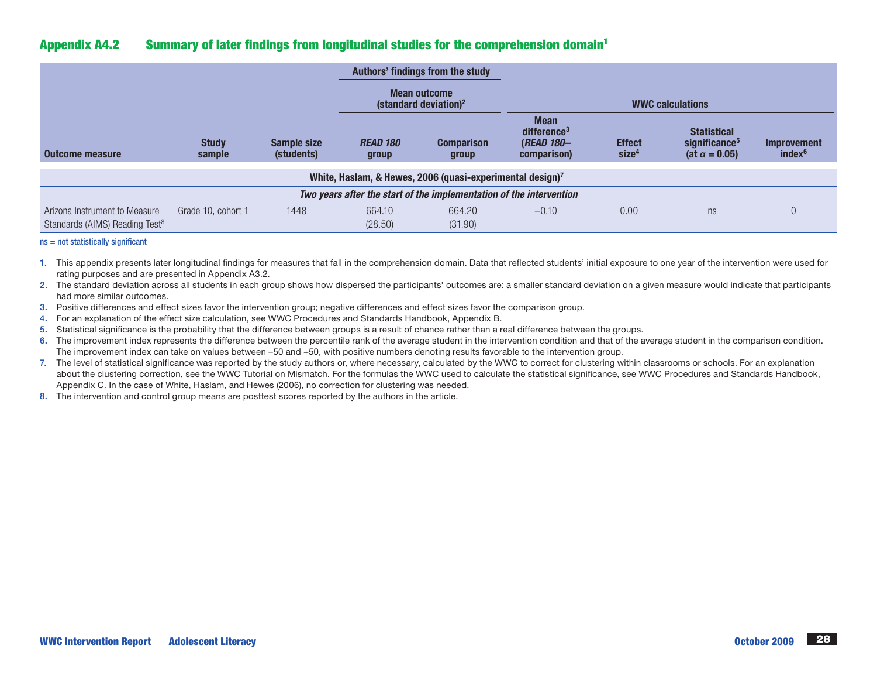# Appendix A4.2 Summary of later findings from longitudinal studies for the comprehension domain1

|                                                                             |                        |                                  | Authors' findings from the study                  |                                                                     |                                                                            |                                    |                                                                          |                                          |
|-----------------------------------------------------------------------------|------------------------|----------------------------------|---------------------------------------------------|---------------------------------------------------------------------|----------------------------------------------------------------------------|------------------------------------|--------------------------------------------------------------------------|------------------------------------------|
|                                                                             |                        |                                  | Mean outcome<br>(standard deviation) <sup>2</sup> |                                                                     | <b>WWC calculations</b>                                                    |                                    |                                                                          |                                          |
| Outcome measure                                                             | <b>Study</b><br>sample | <b>Sample size</b><br>(students) | <b>READ 180</b><br>group                          | <b>Comparison</b><br>group                                          | <b>Mean</b><br>difference <sup>3</sup><br><b>(READ 180-</b><br>comparison) | <b>Effect</b><br>size <sup>4</sup> | <b>Statistical</b><br>significance <sup>5</sup><br>(at $\alpha = 0.05$ ) | <b>Improvement</b><br>index <sup>6</sup> |
|                                                                             |                        |                                  |                                                   | White, Haslam, & Hewes, 2006 (quasi-experimental design)7           |                                                                            |                                    |                                                                          |                                          |
|                                                                             |                        |                                  |                                                   | Two years after the start of the implementation of the intervention |                                                                            |                                    |                                                                          |                                          |
| Arizona Instrument to Measure<br>Standards (AIMS) Reading Test <sup>8</sup> | Grade 10, cohort 1     | 1448                             | 664.10<br>(28.50)                                 | 664.20<br>(31.90)                                                   | $-0.10$                                                                    | 0.00                               | ns                                                                       | $\Omega$                                 |

#### ns = not statistically significant

1. This appendix presents later longitudinal findings for measures that fall in the comprehension domain. Data that reflected students' initial exposure to one year of the intervention were used for rating purposes and are presented in Appendix A3.2.

2. The standard deviation across all students in each group shows how dispersed the participants' outcomes are: a smaller standard deviation on a given measure would indicate that participants had more similar outcomes.

- 3. Positive differences and effect sizes favor the intervention group; negative differences and effect sizes favor the comparison group.
- 4. For an explanation of the effect size calculation, see WWC Procedures and Standards Handbook, Appendix B.
- 5. Statistical significance is the probability that the difference between groups is a result of chance rather than a real difference between the groups.
- 6. The improvement index represents the difference between the percentile rank of the average student in the intervention condition and that of the average student in the comparison condition. The improvement index can take on values between –50 and +50, with positive numbers denoting results favorable to the intervention group.
- 7. The level of statistical significance was reported by the study authors or, where necessary, calculated by the WWC to correct for clustering within classrooms or schools. For an explanation about the clustering correction, see the WWC Tutorial on Mismatch. For the formulas the WWC used to calculate the statistical significance, see WWC Procedures and Standards Handbook, Appendix C. In the case of White, Haslam, and Hewes (2006), no correction for clustering was needed.
- 8. The intervention and control group means are posttest scores reported by the authors in the article.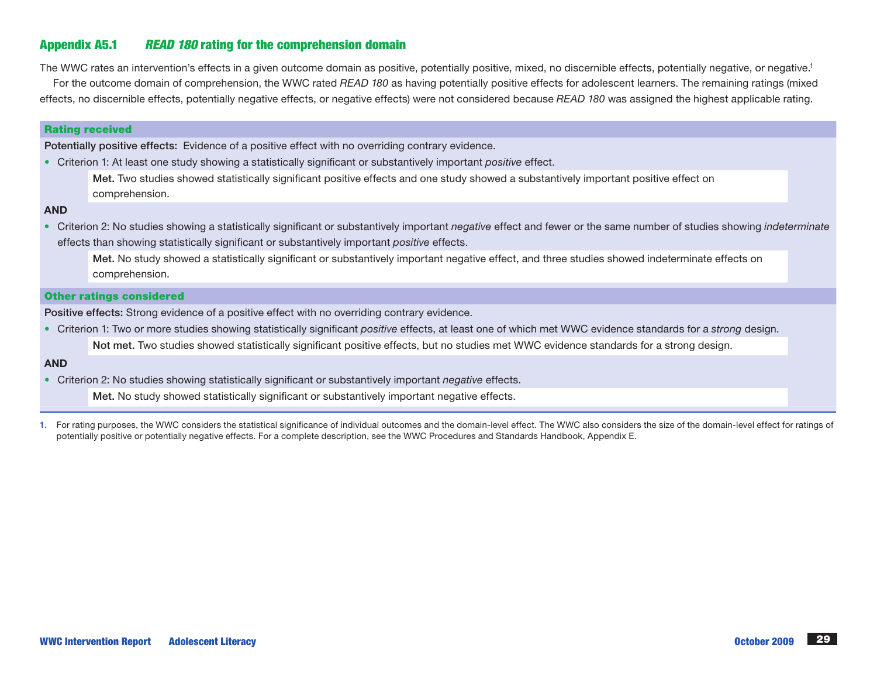# Appendix A5.1 *READ 180* rating for the comprehension domain

The WWC rates an intervention's effects in a given outcome domain as positive, potentially positive, mixed, no discernible effects, potentially negative, or negative.<sup>1</sup> For the outcome domain of comprehension, the WWC rated *READ 180* as having potentially positive effects for adolescent learners. The remaining ratings (mixed effects, no discernible effects, potentially negative effects, or negative effects) were not considered because *READ 180* was assigned the highest applicable rating.

#### Rating received

Potentially positive effects: Evidence of a positive effect with no overriding contrary evidence.

• Criterion 1: At least one study showing a statistically significant or substantively important *positive* effect.

Met. Two studies showed statistically significant positive effects and one study showed a substantively important positive effect on comprehension.

#### AND

• Criterion 2: No studies showing a statistically significant or substantively important *negative* effect and fewer or the same number of studies showing *indeterminate* effects than showing statistically significant or substantively important *positive* effects.

Met. No study showed a statistically significant or substantively important negative effect, and three studies showed indeterminate effects on comprehension.

#### Other ratings considered

Positive effects: Strong evidence of a positive effect with no overriding contrary evidence.

• Criterion 1: Two or more studies showing statistically significant *positive* effects, at least one of which met WWC evidence standards for a *strong* design.

Not met. Two studies showed statistically significant positive effects, but no studies met WWC evidence standards for a strong design.

#### AND

• Criterion 2: No studies showing statistically significant or substantively important *negative* effects.

Met. No study showed statistically significant or substantively important negative effects.

1. For rating purposes, the WWC considers the statistical significance of individual outcomes and the domain-level effect. The WWC also considers the size of the domain-level effect for ratings of potentially positive or potentially negative effects. For a complete description, see the WWC Procedures and Standards Handbook, Appendix E.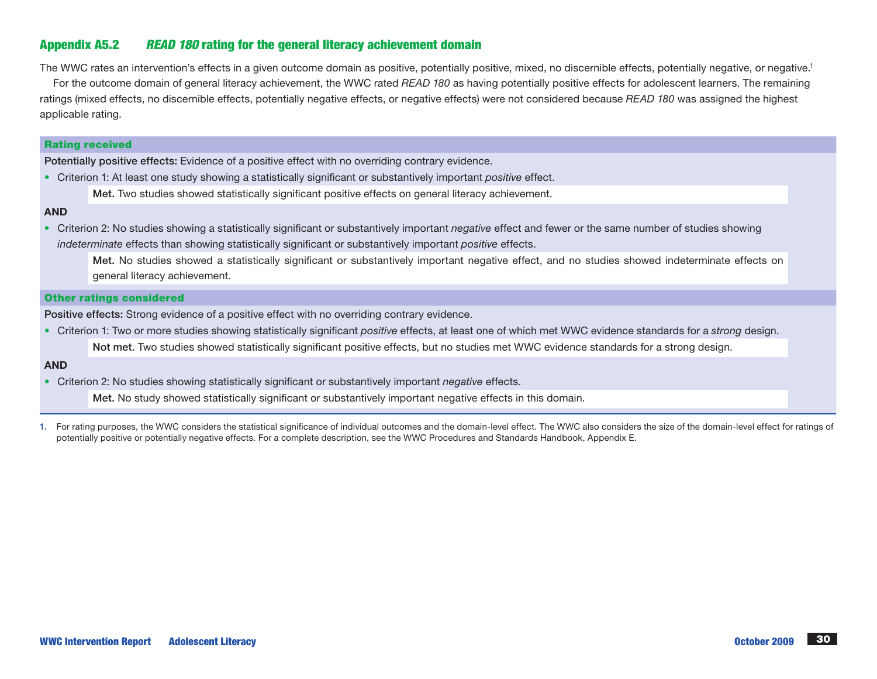# Appendix A5.2 *READ 180* rating for the general literacy achievement domain

The WWC rates an intervention's effects in a given outcome domain as positive, potentially positive, mixed, no discernible effects, potentially negative, or negative.<sup>1</sup>

For the outcome domain of general literacy achievement, the WWC rated *READ 180* as having potentially positive effects for adolescent learners. The remaining ratings (mixed effects, no discernible effects, potentially negative effects, or negative effects) were not considered because *READ 180* was assigned the highest applicable rating.

#### Rating received

Potentially positive effects: Evidence of a positive effect with no overriding contrary evidence.

• Criterion 1: At least one study showing a statistically significant or substantively important *positive* effect.

Met. Two studies showed statistically significant positive effects on general literacy achievement.

#### AND

• Criterion 2: No studies showing a statistically significant or substantively important *negative* effect and fewer or the same number of studies showing *indeterminate* effects than showing statistically significant or substantively important *positive* effects.

Met. No studies showed a statistically significant or substantively important negative effect, and no studies showed indeterminate effects on general literacy achievement.

### Other ratings considered

Positive effects: Strong evidence of a positive effect with no overriding contrary evidence.

• Criterion 1: Two or more studies showing statistically significant *positive* effects, at least one of which met WWC evidence standards for a *strong* design. Not met. Two studies showed statistically significant positive effects, but no studies met WWC evidence standards for a strong design.

#### AND

• Criterion 2: No studies showing statistically significant or substantively important *negative* effects.

Met. No study showed statistically significant or substantively important negative effects in this domain.

1. For rating purposes, the WWC considers the statistical significance of individual outcomes and the domain-level effect. The WWC also considers the size of the domain-level effect for ratings of potentially positive or potentially negative effects. For a complete description, see the WWC Procedures and Standards Handbook, Appendix E.